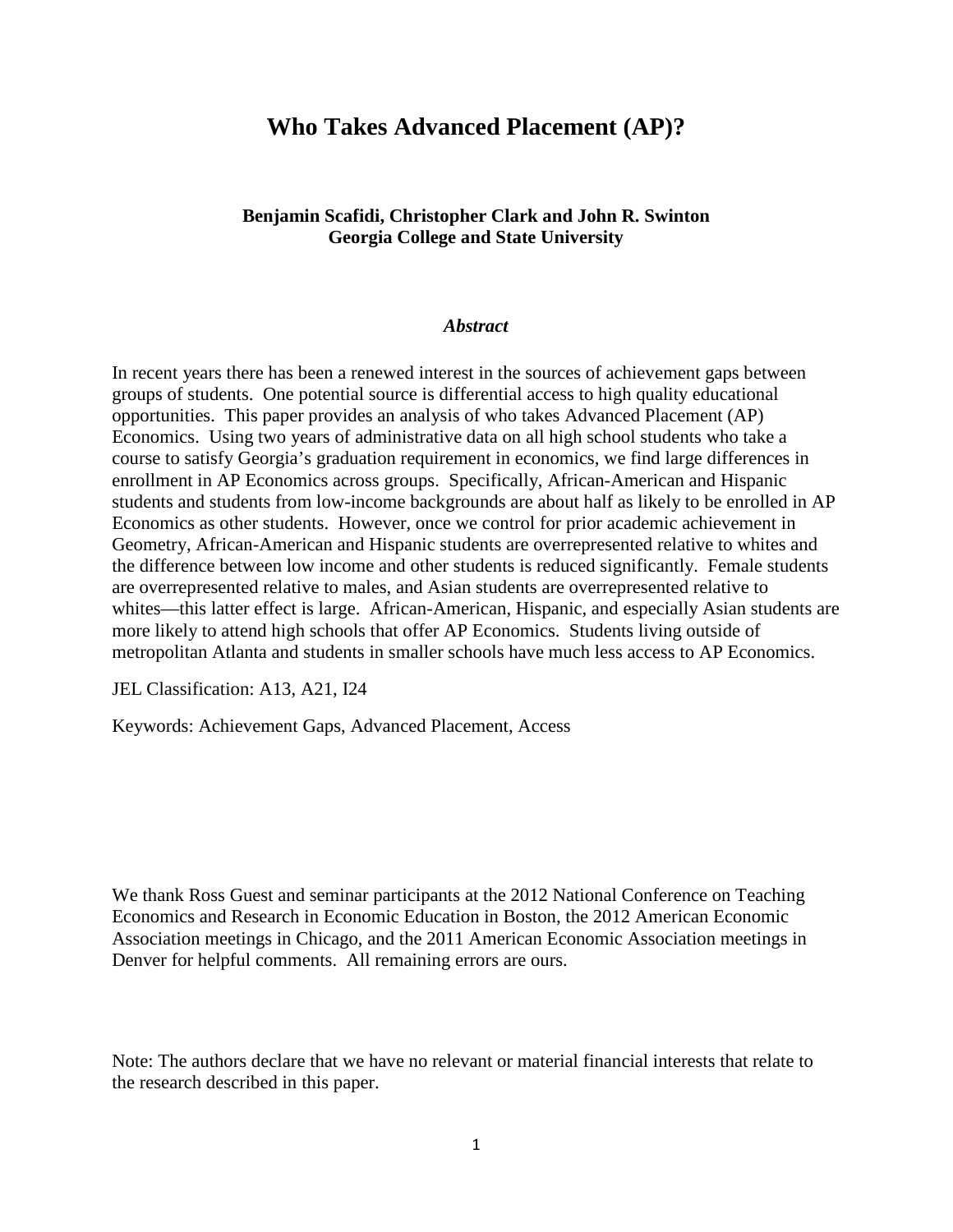# **Who Takes Advanced Placement (AP)?**

# **Benjamin Scafidi, Christopher Clark and John R. Swinton Georgia College and State University**

# *Abstract*

In recent years there has been a renewed interest in the sources of achievement gaps between groups of students. One potential source is differential access to high quality educational opportunities. This paper provides an analysis of who takes Advanced Placement (AP) Economics. Using two years of administrative data on all high school students who take a course to satisfy Georgia's graduation requirement in economics, we find large differences in enrollment in AP Economics across groups. Specifically, African-American and Hispanic students and students from low-income backgrounds are about half as likely to be enrolled in AP Economics as other students. However, once we control for prior academic achievement in Geometry, African-American and Hispanic students are overrepresented relative to whites and the difference between low income and other students is reduced significantly. Female students are overrepresented relative to males, and Asian students are overrepresented relative to whites—this latter effect is large. African-American, Hispanic, and especially Asian students are more likely to attend high schools that offer AP Economics. Students living outside of metropolitan Atlanta and students in smaller schools have much less access to AP Economics.

JEL Classification: A13, A21, I24

Keywords: Achievement Gaps, Advanced Placement, Access

We thank Ross Guest and seminar participants at the 2012 National Conference on Teaching Economics and Research in Economic Education in Boston, the 2012 American Economic Association meetings in Chicago, and the 2011 American Economic Association meetings in Denver for helpful comments. All remaining errors are ours.

Note: The authors declare that we have no relevant or material financial interests that relate to the research described in this paper.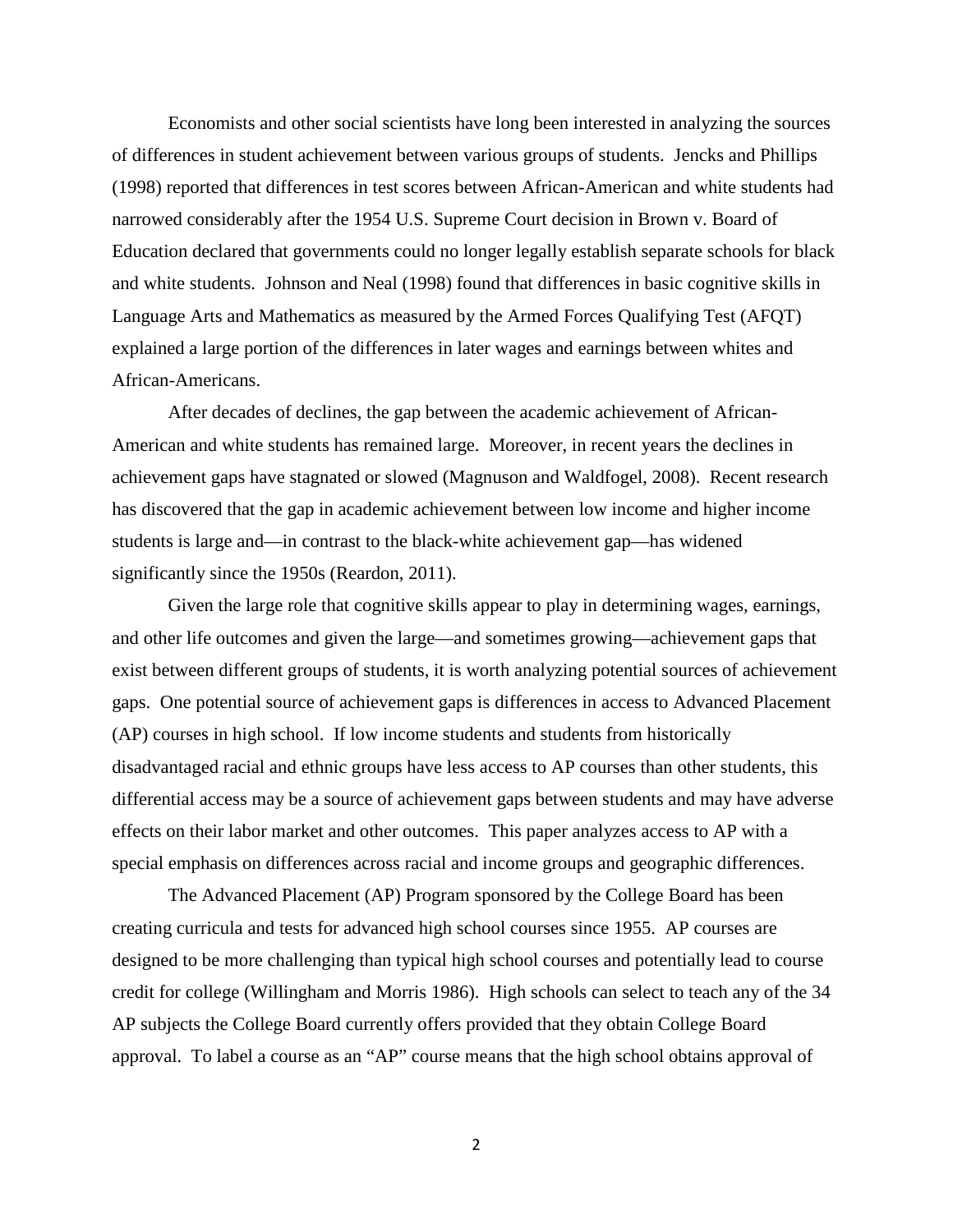Economists and other social scientists have long been interested in analyzing the sources of differences in student achievement between various groups of students. Jencks and Phillips (1998) reported that differences in test scores between African-American and white students had narrowed considerably after the 1954 U.S. Supreme Court decision in Brown v. Board of Education declared that governments could no longer legally establish separate schools for black and white students. Johnson and Neal (1998) found that differences in basic cognitive skills in Language Arts and Mathematics as measured by the Armed Forces Qualifying Test (AFQT) explained a large portion of the differences in later wages and earnings between whites and African-Americans.

After decades of declines, the gap between the academic achievement of African-American and white students has remained large. Moreover, in recent years the declines in achievement gaps have stagnated or slowed (Magnuson and Waldfogel, 2008). Recent research has discovered that the gap in academic achievement between low income and higher income students is large and—in contrast to the black-white achievement gap—has widened significantly since the 1950s (Reardon, 2011).

Given the large role that cognitive skills appear to play in determining wages, earnings, and other life outcomes and given the large—and sometimes growing—achievement gaps that exist between different groups of students, it is worth analyzing potential sources of achievement gaps. One potential source of achievement gaps is differences in access to Advanced Placement (AP) courses in high school. If low income students and students from historically disadvantaged racial and ethnic groups have less access to AP courses than other students, this differential access may be a source of achievement gaps between students and may have adverse effects on their labor market and other outcomes. This paper analyzes access to AP with a special emphasis on differences across racial and income groups and geographic differences.

The Advanced Placement (AP) Program sponsored by the College Board has been creating curricula and tests for advanced high school courses since 1955. AP courses are designed to be more challenging than typical high school courses and potentially lead to course credit for college (Willingham and Morris 1986). High schools can select to teach any of the 34 AP subjects the College Board currently offers provided that they obtain College Board approval. To label a course as an "AP" course means that the high school obtains approval of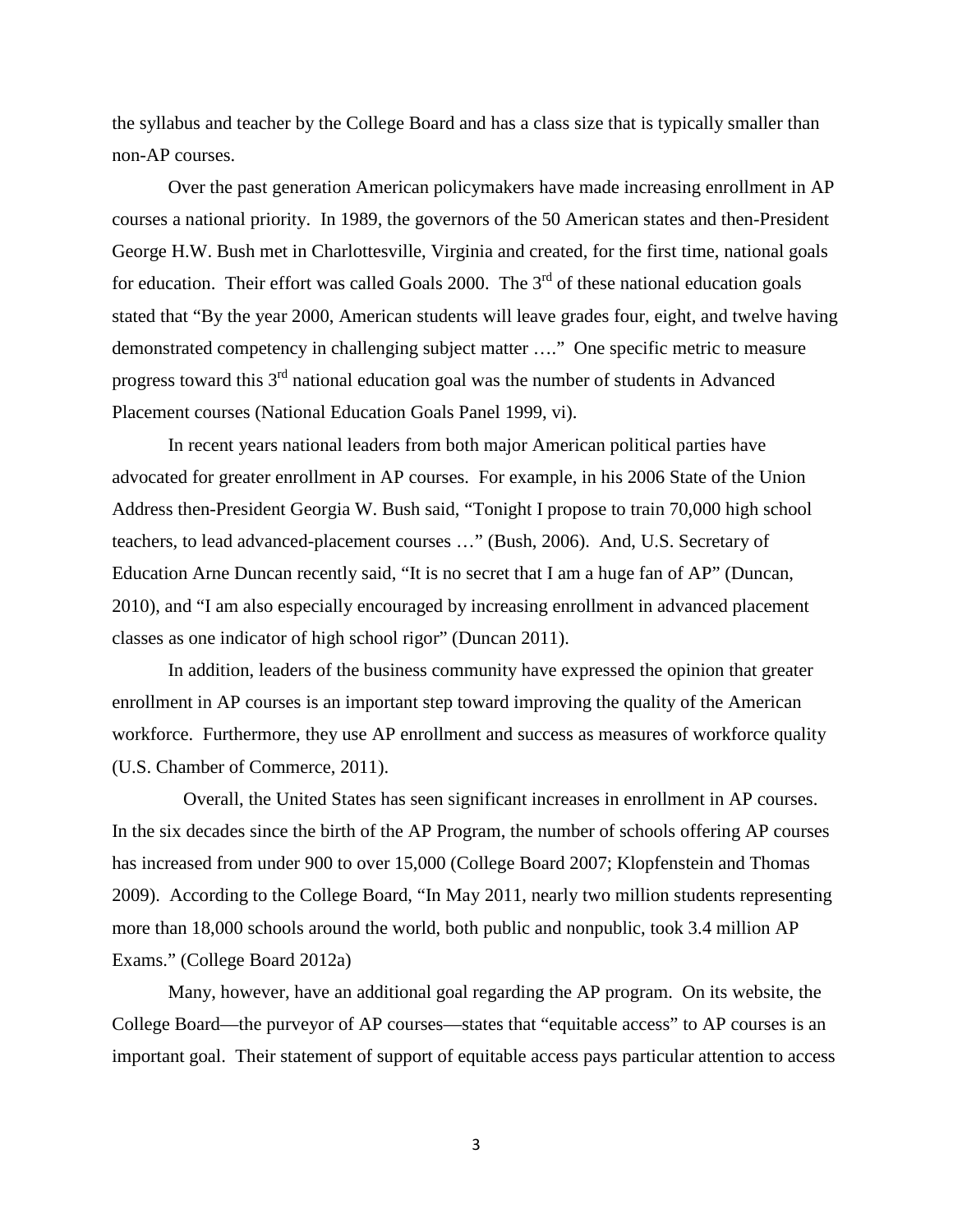the syllabus and teacher by the College Board and has a class size that is typically smaller than non-AP courses.

Over the past generation American policymakers have made increasing enrollment in AP courses a national priority. In 1989, the governors of the 50 American states and then-President George H.W. Bush met in Charlottesville, Virginia and created, for the first time, national goals for education. Their effort was called Goals 2000. The  $3<sup>rd</sup>$  of these national education goals stated that "By the year 2000, American students will leave grades four, eight, and twelve having demonstrated competency in challenging subject matter …." One specific metric to measure progress toward this 3rd national education goal was the number of students in Advanced Placement courses (National Education Goals Panel 1999, vi).

In recent years national leaders from both major American political parties have advocated for greater enrollment in AP courses. For example, in his 2006 State of the Union Address then-President Georgia W. Bush said, "Tonight I propose to train 70,000 high school teachers, to lead advanced-placement courses …" (Bush, 2006). And, U.S. Secretary of Education Arne Duncan recently said, "It is no secret that I am a huge fan of AP" (Duncan, 2010), and "I am also especially encouraged by increasing enrollment in advanced placement classes as one indicator of high school rigor" (Duncan 2011).

In addition, leaders of the business community have expressed the opinion that greater enrollment in AP courses is an important step toward improving the quality of the American workforce. Furthermore, they use AP enrollment and success as measures of workforce quality (U.S. Chamber of Commerce, 2011).

Overall, the United States has seen significant increases in enrollment in AP courses. In the six decades since the birth of the AP Program, the number of schools offering AP courses has increased from under 900 to over 15,000 (College Board 2007; Klopfenstein and Thomas 2009). According to the College Board, "In May 2011, nearly two million students representing more than 18,000 schools around the world, both public and nonpublic, took 3.4 million AP Exams." (College Board 2012a)

Many, however, have an additional goal regarding the AP program. On its website, the College Board—the purveyor of AP courses—states that "equitable access" to AP courses is an important goal. Their statement of support of equitable access pays particular attention to access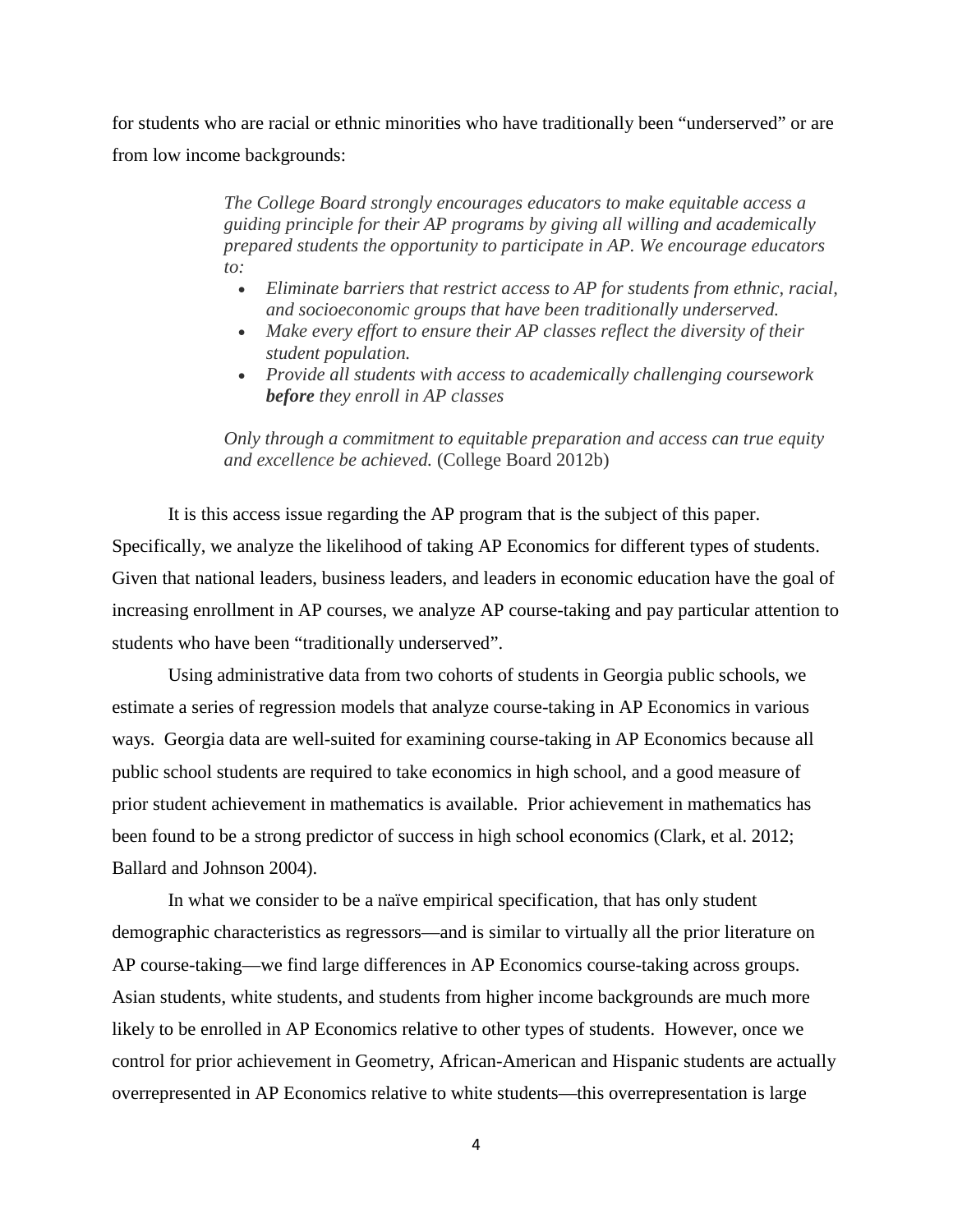for students who are racial or ethnic minorities who have traditionally been "underserved" or are from low income backgrounds:

> *The College Board strongly encourages educators to make equitable access a guiding principle for their AP programs by giving all willing and academically prepared students the opportunity to participate in AP. We encourage educators to:*

- *Eliminate barriers that restrict access to AP for students from ethnic, racial, and socioeconomic groups that have been traditionally underserved.*
- *Make every effort to ensure their AP classes reflect the diversity of their student population.*
- *Provide all students with access to academically challenging coursework before they enroll in AP classes*

*Only through a commitment to equitable preparation and access can true equity and excellence be achieved.* (College Board 2012b)

It is this access issue regarding the AP program that is the subject of this paper. Specifically, we analyze the likelihood of taking AP Economics for different types of students. Given that national leaders, business leaders, and leaders in economic education have the goal of increasing enrollment in AP courses, we analyze AP course-taking and pay particular attention to students who have been "traditionally underserved".

Using administrative data from two cohorts of students in Georgia public schools, we estimate a series of regression models that analyze course-taking in AP Economics in various ways. Georgia data are well-suited for examining course-taking in AP Economics because all public school students are required to take economics in high school, and a good measure of prior student achievement in mathematics is available. Prior achievement in mathematics has been found to be a strong predictor of success in high school economics (Clark, et al. 2012; Ballard and Johnson 2004).

In what we consider to be a naïve empirical specification, that has only student demographic characteristics as regressors—and is similar to virtually all the prior literature on AP course-taking—we find large differences in AP Economics course-taking across groups. Asian students, white students, and students from higher income backgrounds are much more likely to be enrolled in AP Economics relative to other types of students. However, once we control for prior achievement in Geometry, African-American and Hispanic students are actually overrepresented in AP Economics relative to white students—this overrepresentation is large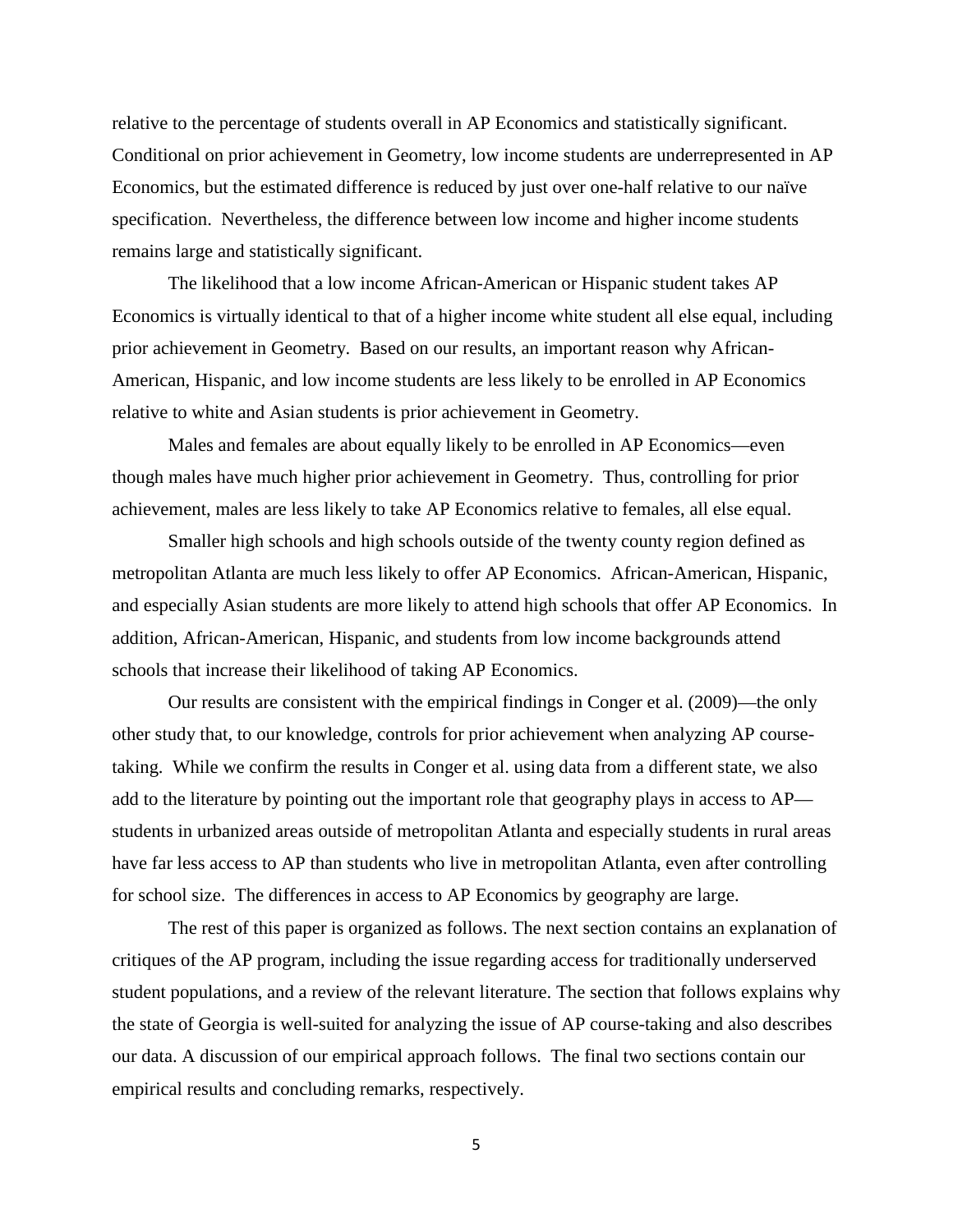relative to the percentage of students overall in AP Economics and statistically significant. Conditional on prior achievement in Geometry, low income students are underrepresented in AP Economics, but the estimated difference is reduced by just over one-half relative to our naïve specification. Nevertheless, the difference between low income and higher income students remains large and statistically significant.

The likelihood that a low income African-American or Hispanic student takes AP Economics is virtually identical to that of a higher income white student all else equal, including prior achievement in Geometry. Based on our results, an important reason why African-American, Hispanic, and low income students are less likely to be enrolled in AP Economics relative to white and Asian students is prior achievement in Geometry.

Males and females are about equally likely to be enrolled in AP Economics—even though males have much higher prior achievement in Geometry. Thus, controlling for prior achievement, males are less likely to take AP Economics relative to females, all else equal.

Smaller high schools and high schools outside of the twenty county region defined as metropolitan Atlanta are much less likely to offer AP Economics. African-American, Hispanic, and especially Asian students are more likely to attend high schools that offer AP Economics. In addition, African-American, Hispanic, and students from low income backgrounds attend schools that increase their likelihood of taking AP Economics.

Our results are consistent with the empirical findings in Conger et al. (2009)—the only other study that, to our knowledge, controls for prior achievement when analyzing AP coursetaking. While we confirm the results in Conger et al. using data from a different state, we also add to the literature by pointing out the important role that geography plays in access to AP students in urbanized areas outside of metropolitan Atlanta and especially students in rural areas have far less access to AP than students who live in metropolitan Atlanta, even after controlling for school size. The differences in access to AP Economics by geography are large.

The rest of this paper is organized as follows. The next section contains an explanation of critiques of the AP program, including the issue regarding access for traditionally underserved student populations, and a review of the relevant literature. The section that follows explains why the state of Georgia is well-suited for analyzing the issue of AP course-taking and also describes our data. A discussion of our empirical approach follows. The final two sections contain our empirical results and concluding remarks, respectively.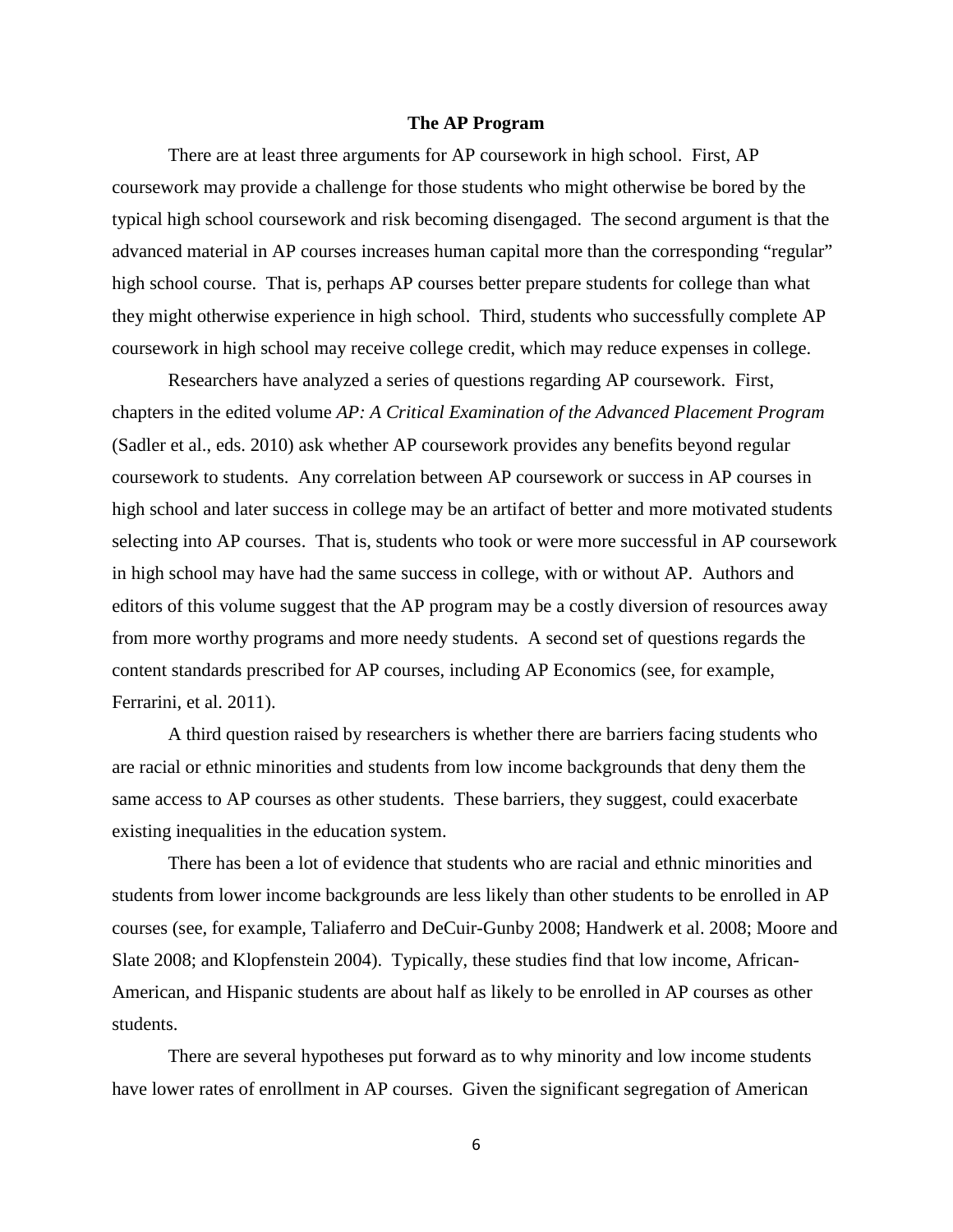# **The AP Program**

There are at least three arguments for AP coursework in high school. First, AP coursework may provide a challenge for those students who might otherwise be bored by the typical high school coursework and risk becoming disengaged. The second argument is that the advanced material in AP courses increases human capital more than the corresponding "regular" high school course. That is, perhaps AP courses better prepare students for college than what they might otherwise experience in high school. Third, students who successfully complete AP coursework in high school may receive college credit, which may reduce expenses in college.

Researchers have analyzed a series of questions regarding AP coursework. First, chapters in the edited volume *AP: A Critical Examination of the Advanced Placement Program*  (Sadler et al., eds. 2010) ask whether AP coursework provides any benefits beyond regular coursework to students. Any correlation between AP coursework or success in AP courses in high school and later success in college may be an artifact of better and more motivated students selecting into AP courses. That is, students who took or were more successful in AP coursework in high school may have had the same success in college, with or without AP. Authors and editors of this volume suggest that the AP program may be a costly diversion of resources away from more worthy programs and more needy students. A second set of questions regards the content standards prescribed for AP courses, including AP Economics (see, for example, Ferrarini, et al. 2011).

A third question raised by researchers is whether there are barriers facing students who are racial or ethnic minorities and students from low income backgrounds that deny them the same access to AP courses as other students. These barriers, they suggest, could exacerbate existing inequalities in the education system.

There has been a lot of evidence that students who are racial and ethnic minorities and students from lower income backgrounds are less likely than other students to be enrolled in AP courses (see, for example, Taliaferro and DeCuir-Gunby 2008; Handwerk et al. 2008; Moore and Slate 2008; and Klopfenstein 2004). Typically, these studies find that low income, African-American, and Hispanic students are about half as likely to be enrolled in AP courses as other students.

There are several hypotheses put forward as to why minority and low income students have lower rates of enrollment in AP courses. Given the significant segregation of American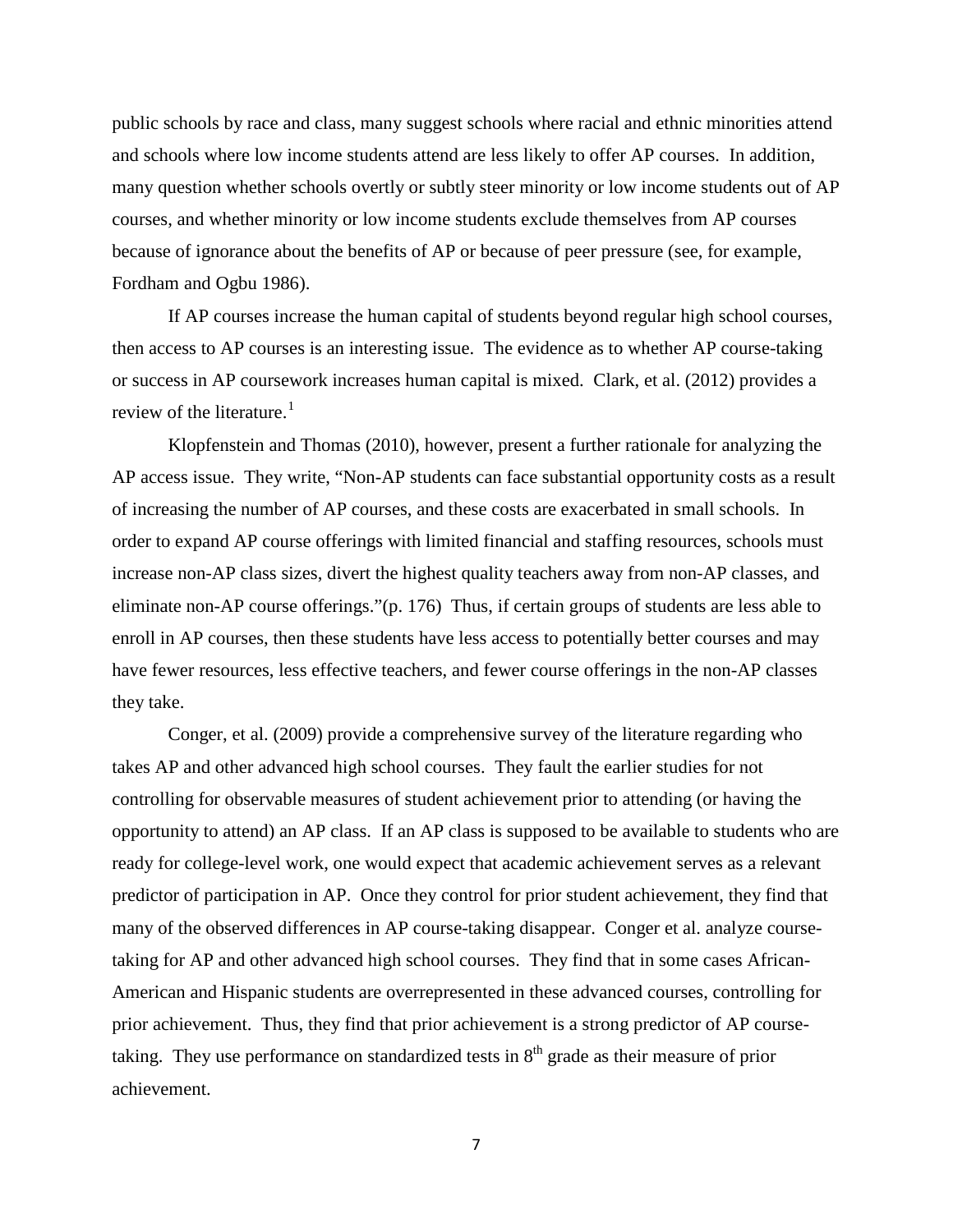public schools by race and class, many suggest schools where racial and ethnic minorities attend and schools where low income students attend are less likely to offer AP courses. In addition, many question whether schools overtly or subtly steer minority or low income students out of AP courses, and whether minority or low income students exclude themselves from AP courses because of ignorance about the benefits of AP or because of peer pressure (see, for example, Fordham and Ogbu 1986).

If AP courses increase the human capital of students beyond regular high school courses, then access to AP courses is an interesting issue. The evidence as to whether AP course-taking or success in AP coursework increases human capital is mixed. Clark, et al. (2012) provides a review of the literature.<sup>[1](#page-31-0)</sup>

Klopfenstein and Thomas (2010), however, present a further rationale for analyzing the AP access issue. They write, "Non-AP students can face substantial opportunity costs as a result of increasing the number of AP courses, and these costs are exacerbated in small schools. In order to expand AP course offerings with limited financial and staffing resources, schools must increase non-AP class sizes, divert the highest quality teachers away from non-AP classes, and eliminate non-AP course offerings."(p. 176) Thus, if certain groups of students are less able to enroll in AP courses, then these students have less access to potentially better courses and may have fewer resources, less effective teachers, and fewer course offerings in the non-AP classes they take.

Conger, et al. (2009) provide a comprehensive survey of the literature regarding who takes AP and other advanced high school courses. They fault the earlier studies for not controlling for observable measures of student achievement prior to attending (or having the opportunity to attend) an AP class. If an AP class is supposed to be available to students who are ready for college-level work, one would expect that academic achievement serves as a relevant predictor of participation in AP. Once they control for prior student achievement, they find that many of the observed differences in AP course-taking disappear. Conger et al. analyze coursetaking for AP and other advanced high school courses. They find that in some cases African-American and Hispanic students are overrepresented in these advanced courses, controlling for prior achievement. Thus, they find that prior achievement is a strong predictor of AP coursetaking. They use performance on standardized tests in  $8<sup>th</sup>$  grade as their measure of prior achievement.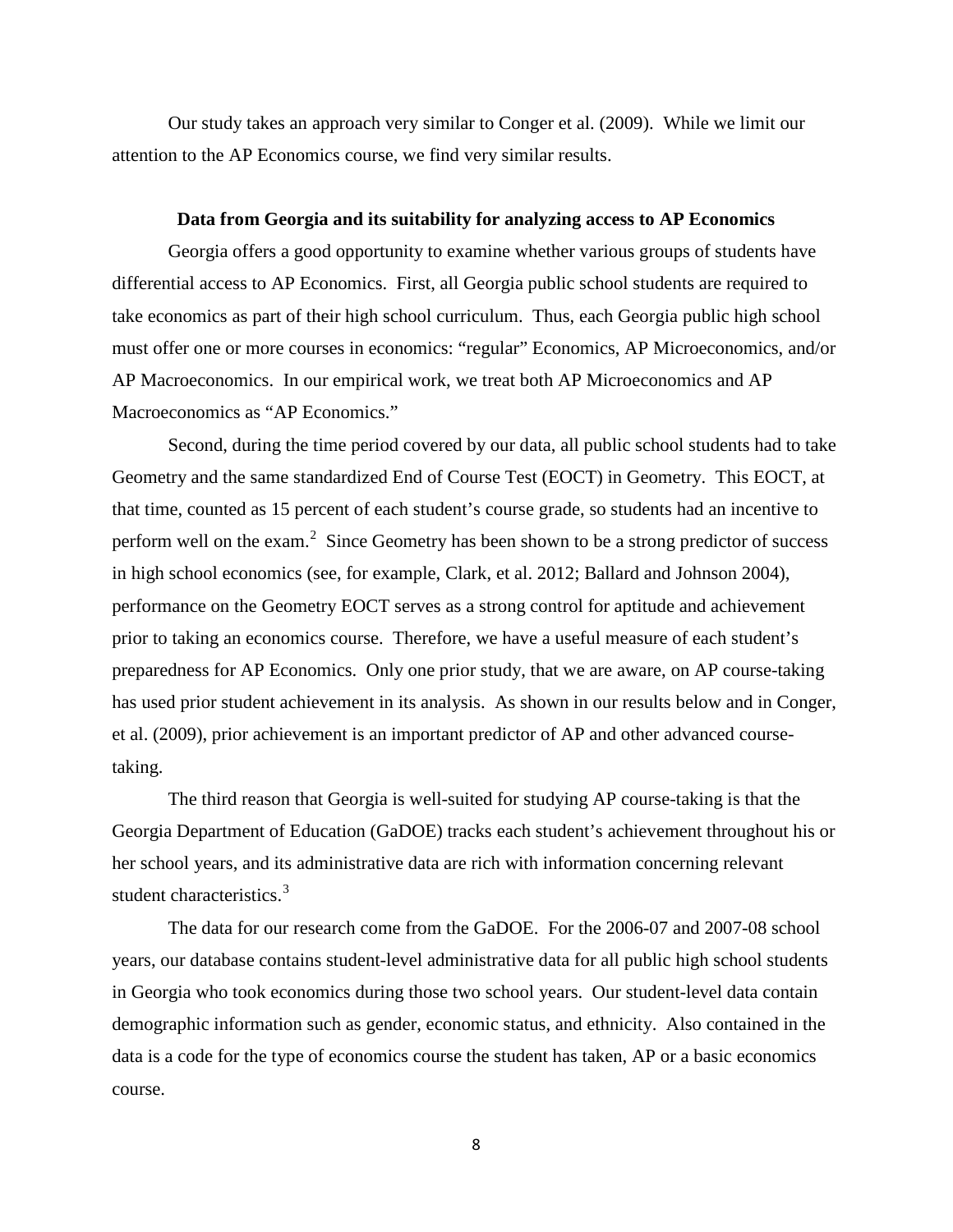Our study takes an approach very similar to Conger et al. (2009). While we limit our attention to the AP Economics course, we find very similar results.

#### **Data from Georgia and its suitability for analyzing access to AP Economics**

Georgia offers a good opportunity to examine whether various groups of students have differential access to AP Economics. First, all Georgia public school students are required to take economics as part of their high school curriculum. Thus, each Georgia public high school must offer one or more courses in economics: "regular" Economics, AP Microeconomics, and/or AP Macroeconomics. In our empirical work, we treat both AP Microeconomics and AP Macroeconomics as "AP Economics."

Second, during the time period covered by our data, all public school students had to take Geometry and the same standardized End of Course Test (EOCT) in Geometry. This EOCT, at that time, counted as 15 percent of each student's course grade, so students had an incentive to perform well on the exam.<sup>[2](#page-31-1)</sup> Since Geometry has been shown to be a strong predictor of success in high school economics (see, for example, Clark, et al. 2012; Ballard and Johnson 2004), performance on the Geometry EOCT serves as a strong control for aptitude and achievement prior to taking an economics course. Therefore, we have a useful measure of each student's preparedness for AP Economics. Only one prior study, that we are aware, on AP course-taking has used prior student achievement in its analysis. As shown in our results below and in Conger, et al. (2009), prior achievement is an important predictor of AP and other advanced coursetaking.

The third reason that Georgia is well-suited for studying AP course-taking is that the Georgia Department of Education (GaDOE) tracks each student's achievement throughout his or her school years, and its administrative data are rich with information concerning relevant student characteristics.<sup>[3](#page-31-2)</sup>

The data for our research come from the GaDOE. For the 2006-07 and 2007-08 school years, our database contains student-level administrative data for all public high school students in Georgia who took economics during those two school years. Our student-level data contain demographic information such as gender, economic status, and ethnicity. Also contained in the data is a code for the type of economics course the student has taken, AP or a basic economics course.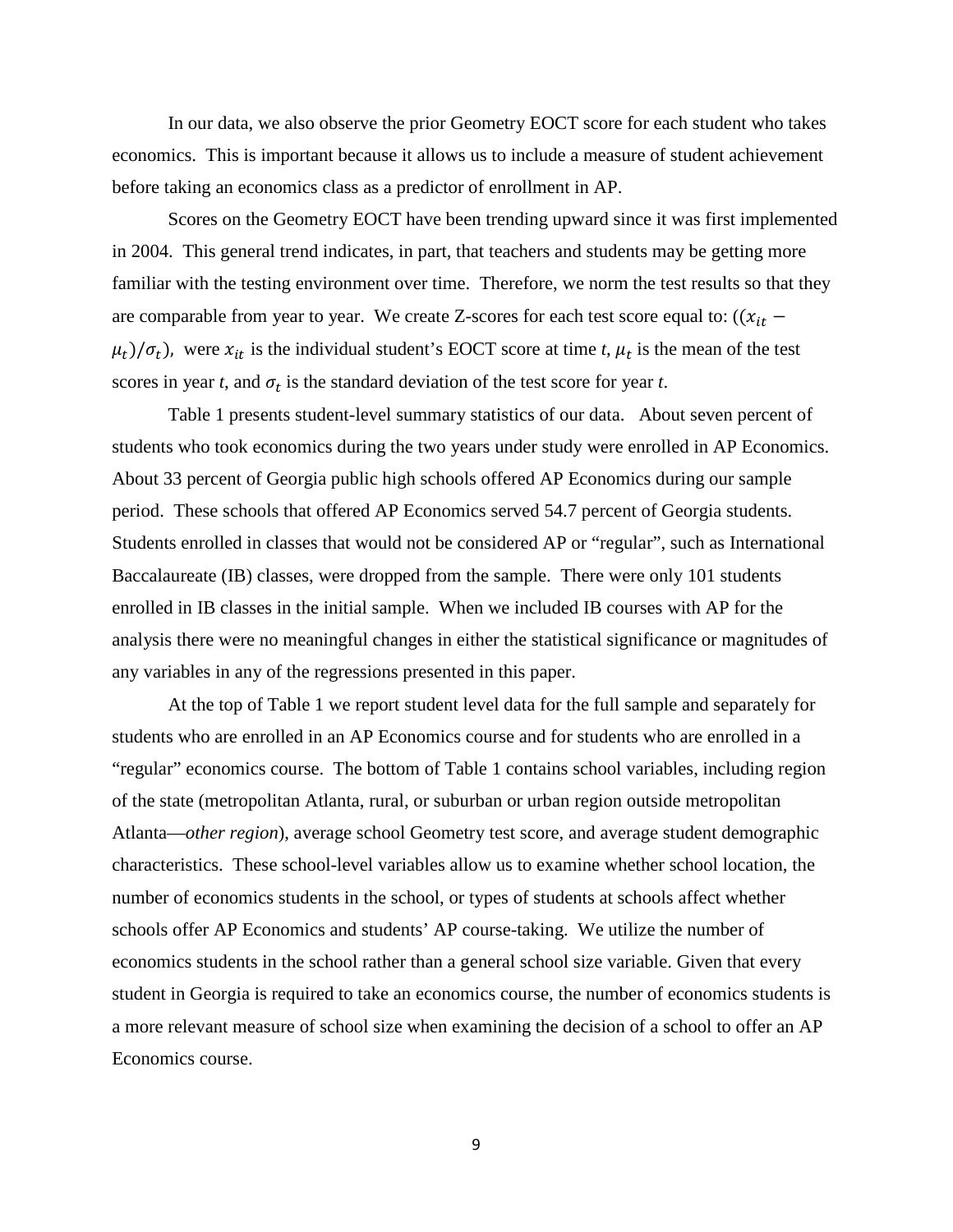In our data, we also observe the prior Geometry EOCT score for each student who takes economics. This is important because it allows us to include a measure of student achievement before taking an economics class as a predictor of enrollment in AP.

Scores on the Geometry EOCT have been trending upward since it was first implemented in 2004. This general trend indicates, in part, that teachers and students may be getting more familiar with the testing environment over time. Therefore, we norm the test results so that they are comparable from year to year. We create Z-scores for each test score equal to:  $((x_{it}$  $\mu_t$ )/ $\sigma_t$ ), were  $x_{it}$  is the individual student's EOCT score at time *t*,  $\mu_t$  is the mean of the test scores in year *t*, and  $\sigma_t$  is the standard deviation of the test score for year *t*.

Table 1 presents student-level summary statistics of our data. About seven percent of students who took economics during the two years under study were enrolled in AP Economics. About 33 percent of Georgia public high schools offered AP Economics during our sample period. These schools that offered AP Economics served 54.7 percent of Georgia students. Students enrolled in classes that would not be considered AP or "regular", such as International Baccalaureate (IB) classes, were dropped from the sample. There were only 101 students enrolled in IB classes in the initial sample. When we included IB courses with AP for the analysis there were no meaningful changes in either the statistical significance or magnitudes of any variables in any of the regressions presented in this paper.

At the top of Table 1 we report student level data for the full sample and separately for students who are enrolled in an AP Economics course and for students who are enrolled in a "regular" economics course. The bottom of Table 1 contains school variables, including region of the state (metropolitan Atlanta, rural, or suburban or urban region outside metropolitan Atlanta—*other region*), average school Geometry test score, and average student demographic characteristics. These school-level variables allow us to examine whether school location, the number of economics students in the school, or types of students at schools affect whether schools offer AP Economics and students' AP course-taking. We utilize the number of economics students in the school rather than a general school size variable. Given that every student in Georgia is required to take an economics course, the number of economics students is a more relevant measure of school size when examining the decision of a school to offer an AP Economics course.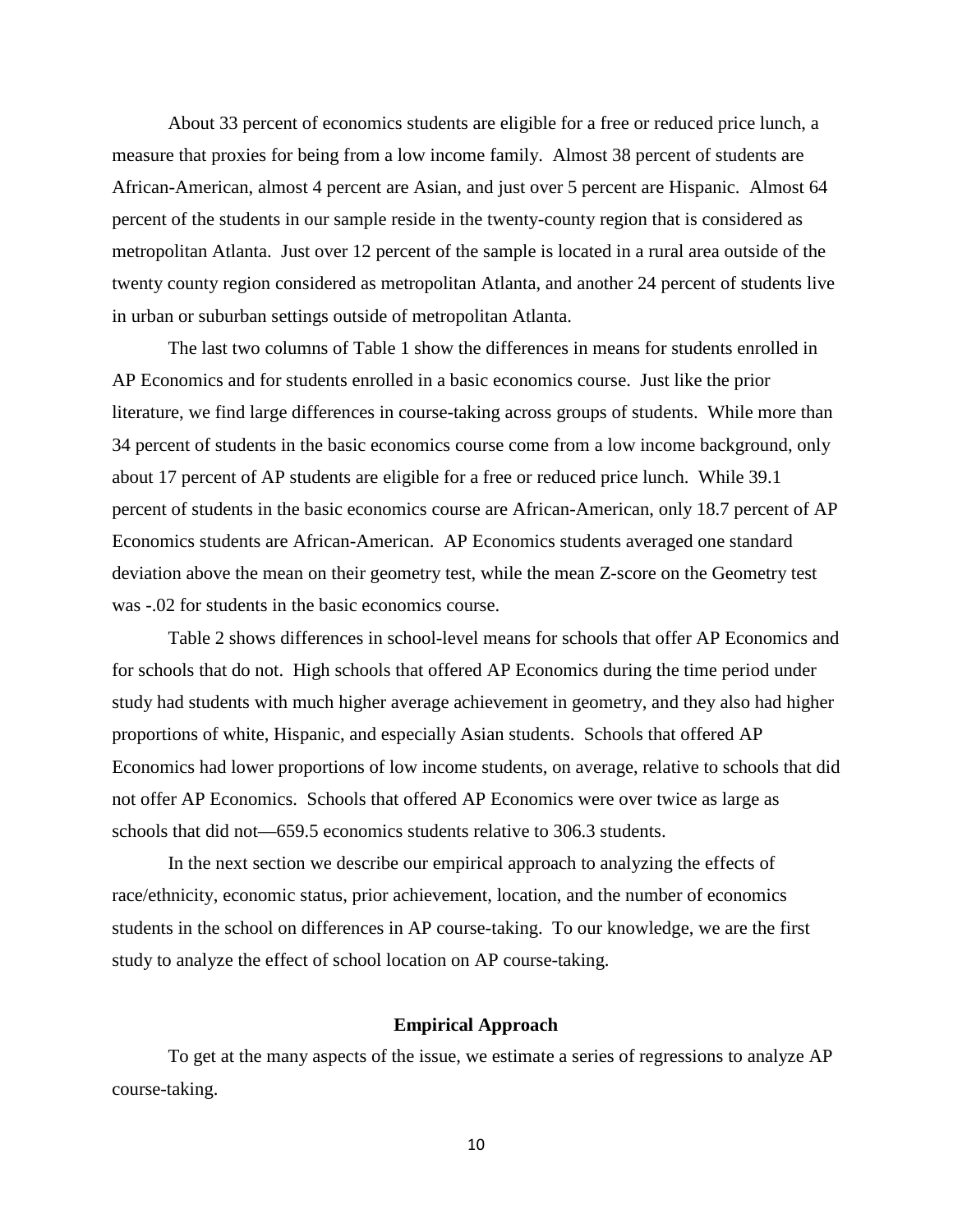About 33 percent of economics students are eligible for a free or reduced price lunch, a measure that proxies for being from a low income family. Almost 38 percent of students are African-American, almost 4 percent are Asian, and just over 5 percent are Hispanic. Almost 64 percent of the students in our sample reside in the twenty-county region that is considered as metropolitan Atlanta. Just over 12 percent of the sample is located in a rural area outside of the twenty county region considered as metropolitan Atlanta, and another 24 percent of students live in urban or suburban settings outside of metropolitan Atlanta.

The last two columns of Table 1 show the differences in means for students enrolled in AP Economics and for students enrolled in a basic economics course. Just like the prior literature, we find large differences in course-taking across groups of students. While more than 34 percent of students in the basic economics course come from a low income background, only about 17 percent of AP students are eligible for a free or reduced price lunch. While 39.1 percent of students in the basic economics course are African-American, only 18.7 percent of AP Economics students are African-American. AP Economics students averaged one standard deviation above the mean on their geometry test, while the mean Z-score on the Geometry test was -.02 for students in the basic economics course.

Table 2 shows differences in school-level means for schools that offer AP Economics and for schools that do not. High schools that offered AP Economics during the time period under study had students with much higher average achievement in geometry, and they also had higher proportions of white, Hispanic, and especially Asian students. Schools that offered AP Economics had lower proportions of low income students, on average, relative to schools that did not offer AP Economics. Schools that offered AP Economics were over twice as large as schools that did not—659.5 economics students relative to 306.3 students.

In the next section we describe our empirical approach to analyzing the effects of race/ethnicity, economic status, prior achievement, location, and the number of economics students in the school on differences in AP course-taking. To our knowledge, we are the first study to analyze the effect of school location on AP course-taking.

# **Empirical Approach**

To get at the many aspects of the issue, we estimate a series of regressions to analyze AP course-taking.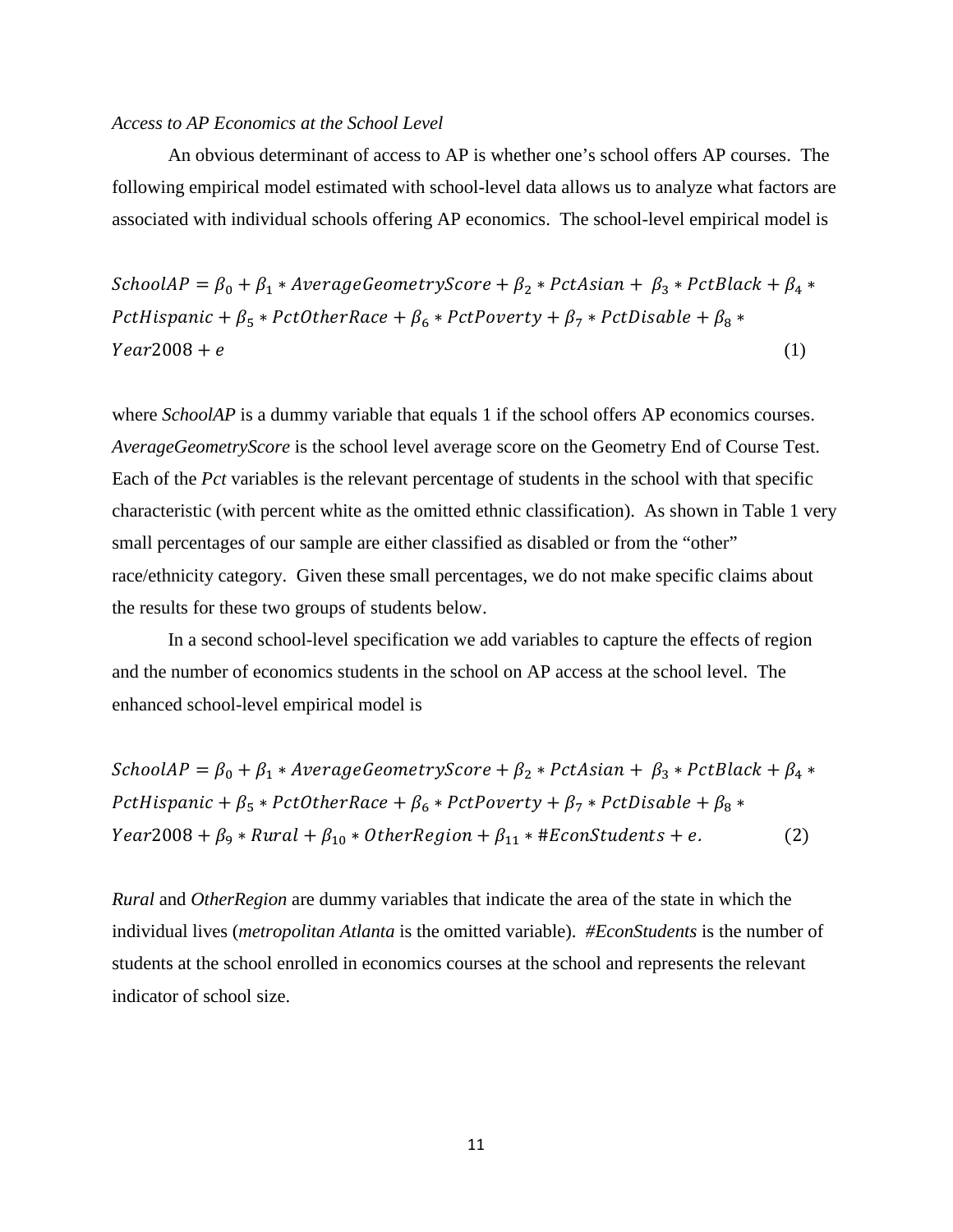## *Access to AP Economics at the School Level*

An obvious determinant of access to AP is whether one's school offers AP courses. The following empirical model estimated with school-level data allows us to analyze what factors are associated with individual schools offering AP economics. The school-level empirical model is

 $SchoolAP = \beta_0 + \beta_1 * AverageGeometryScore + \beta_2 * PctAsian + \beta_3 * PctBlack + \beta_4 *$ PctHispanic +  $\beta_5$  \* PctOtherRace +  $\beta_6$  \* PctPoverty +  $\beta_7$  \* PctDisable +  $\beta_8$  \*  $Year2008 + e$  (1)

where *SchoolAP* is a dummy variable that equals 1 if the school offers AP economics courses. *AverageGeometryScore* is the school level average score on the Geometry End of Course Test. Each of the *Pct* variables is the relevant percentage of students in the school with that specific characteristic (with percent white as the omitted ethnic classification). As shown in Table 1 very small percentages of our sample are either classified as disabled or from the "other" race/ethnicity category. Given these small percentages, we do not make specific claims about the results for these two groups of students below.

In a second school-level specification we add variables to capture the effects of region and the number of economics students in the school on AP access at the school level. The enhanced school-level empirical model is

 $SchoolAP = \beta_0 + \beta_1 * AverageGeometryScore + \beta_2 * Pct Asian + \beta_3 * PctBlack + \beta_4 *$ PctHispanic +  $\beta_5$  \* PctOtherRace +  $\beta_6$  \* PctPoverty +  $\beta_7$  \* PctDisable +  $\beta_8$  \*  $Year2008 + \beta_9 * Rural + \beta_{10} * OtherRegion + \beta_{11} * \#EconStudents + e.$  (2)

*Rural* and *OtherRegion* are dummy variables that indicate the area of the state in which the individual lives (*metropolitan Atlanta* is the omitted variable). *#EconStudents* is the number of students at the school enrolled in economics courses at the school and represents the relevant indicator of school size.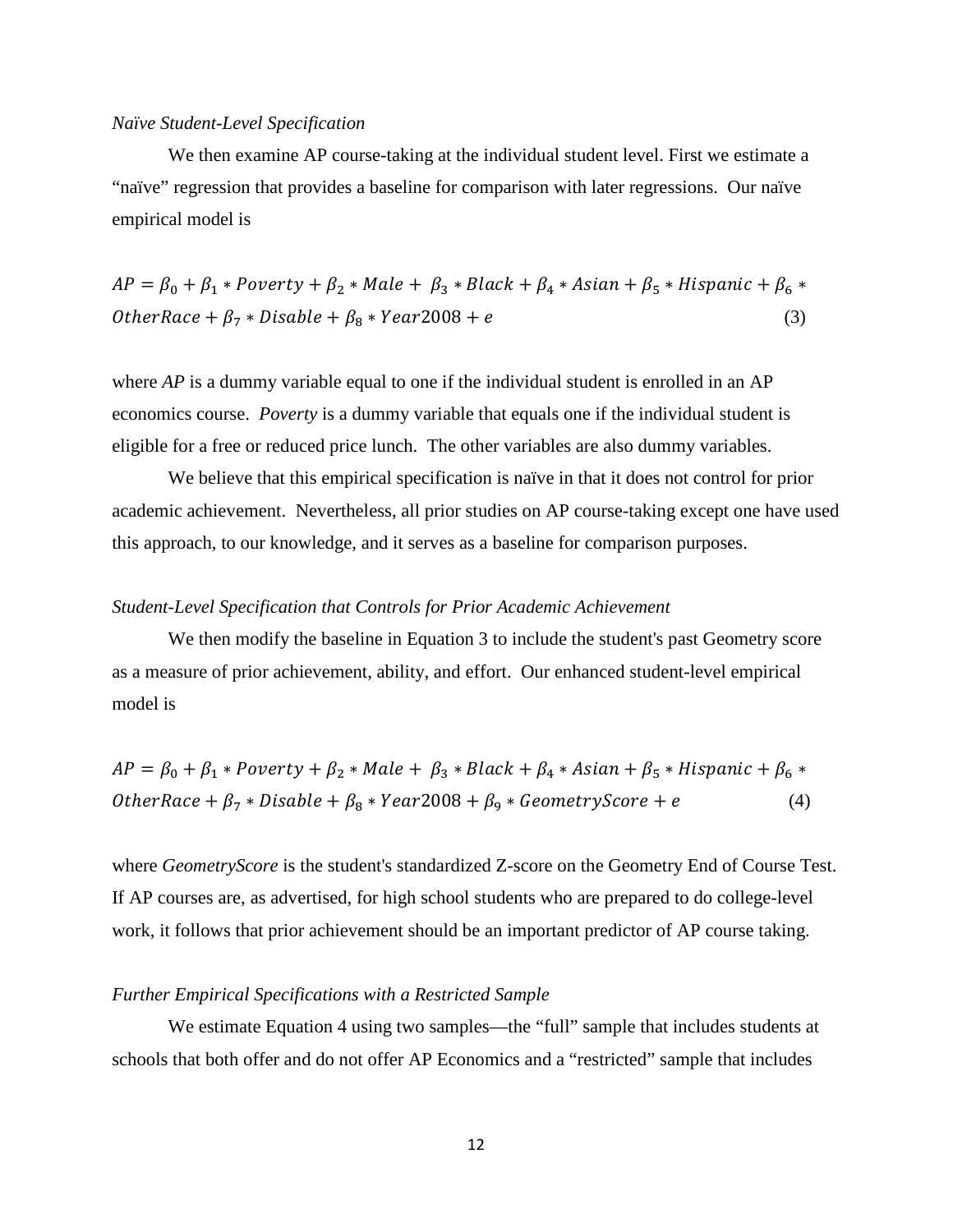#### *Naïve Student-Level Specification*

We then examine AP course-taking at the individual student level. First we estimate a "naïve" regression that provides a baseline for comparison with later regressions. Our naïve empirical model is

 $AP = \beta_0 + \beta_1 * Powerty + \beta_2 * Male + \beta_3 * Black + \beta_4 * Asian + \beta_5 * Hispanic + \beta_6 *$  $Other Race + \beta_7 * Disable + \beta_8 * Year2008 + e$  (3)

where *AP* is a dummy variable equal to one if the individual student is enrolled in an AP economics course. *Poverty* is a dummy variable that equals one if the individual student is eligible for a free or reduced price lunch. The other variables are also dummy variables.

We believe that this empirical specification is naïve in that it does not control for prior academic achievement. Nevertheless, all prior studies on AP course-taking except one have used this approach, to our knowledge, and it serves as a baseline for comparison purposes.

## *Student-Level Specification that Controls for Prior Academic Achievement*

We then modify the baseline in Equation 3 to include the student's past Geometry score as a measure of prior achievement, ability, and effort. Our enhanced student-level empirical model is

 $AP = \beta_0 + \beta_1 * Powerty + \beta_2 * Male + \beta_3 * Black + \beta_4 * Asian + \beta_5 * Hispanic + \beta_6 *$ OtherRace +  $\beta_7 * Disable + \beta_8 * Year2008 + \beta_9 * GeometryScore + e$  (4)

where *GeometryScore* is the student's standardized Z-score on the Geometry End of Course Test. If AP courses are, as advertised, for high school students who are prepared to do college-level work, it follows that prior achievement should be an important predictor of AP course taking.

## *Further Empirical Specifications with a Restricted Sample*

We estimate Equation 4 using two samples—the "full" sample that includes students at schools that both offer and do not offer AP Economics and a "restricted" sample that includes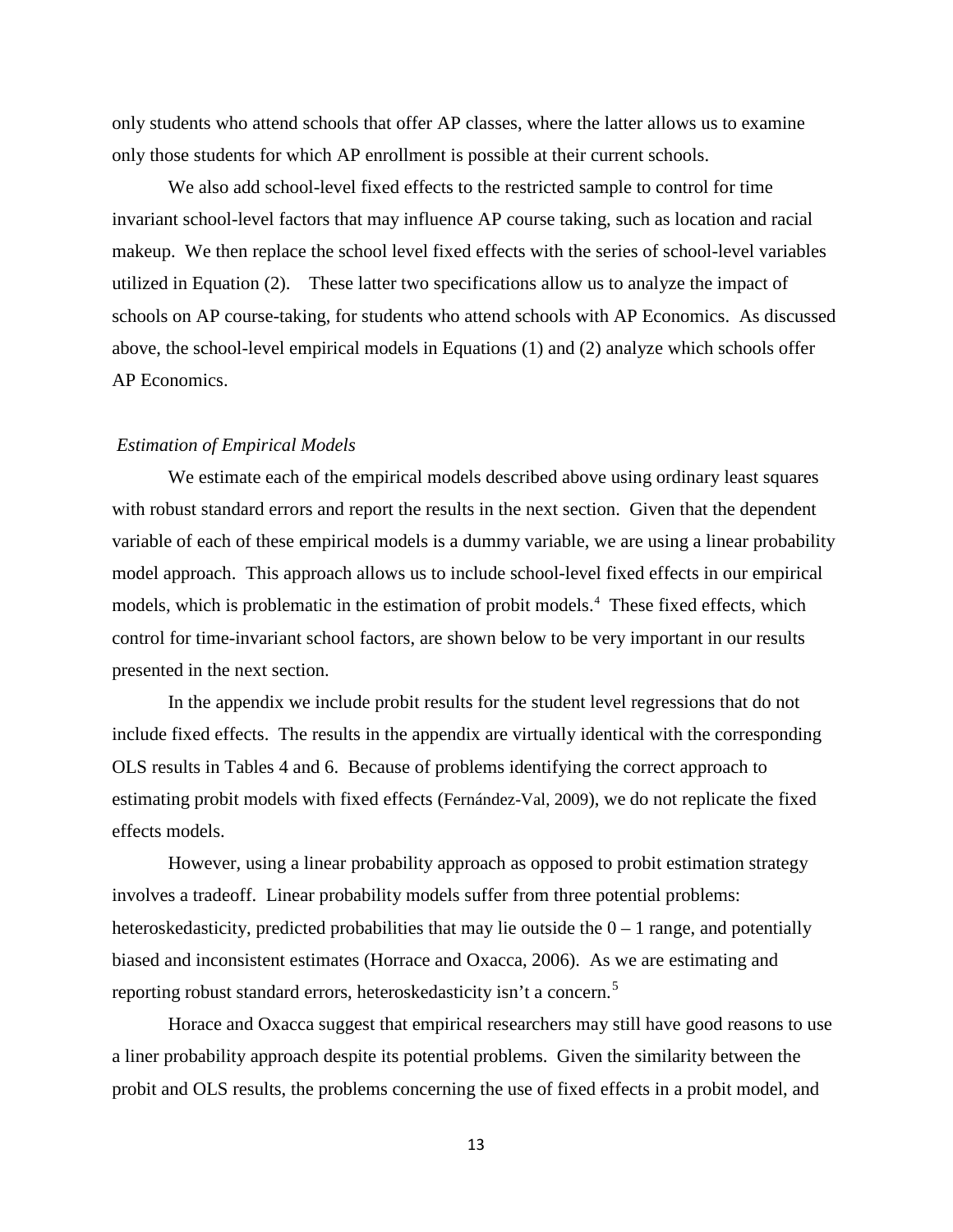only students who attend schools that offer AP classes, where the latter allows us to examine only those students for which AP enrollment is possible at their current schools.

We also add school-level fixed effects to the restricted sample to control for time invariant school-level factors that may influence AP course taking, such as location and racial makeup. We then replace the school level fixed effects with the series of school-level variables utilized in Equation (2). These latter two specifications allow us to analyze the impact of schools on AP course-taking, for students who attend schools with AP Economics. As discussed above, the school-level empirical models in Equations (1) and (2) analyze which schools offer AP Economics.

# *Estimation of Empirical Models*

We estimate each of the empirical models described above using ordinary least squares with robust standard errors and report the results in the next section. Given that the dependent variable of each of these empirical models is a dummy variable, we are using a linear probability model approach. This approach allows us to include school-level fixed effects in our empirical models, which is problematic in the estimation of probit models. [4](#page-32-0) These fixed effects, which control for time-invariant school factors, are shown below to be very important in our results presented in the next section.

In the appendix we include probit results for the student level regressions that do not include fixed effects. The results in the appendix are virtually identical with the corresponding OLS results in Tables 4 and 6. Because of problems identifying the correct approach to estimating probit models with fixed effects (Fernández-Val, 2009), we do not replicate the fixed effects models.

However, using a linear probability approach as opposed to probit estimation strategy involves a tradeoff. Linear probability models suffer from three potential problems: heteroskedasticity, predicted probabilities that may lie outside the  $0 - 1$  range, and potentially biased and inconsistent estimates (Horrace and Oxacca, 2006). As we are estimating and reporting robust standard errors, heteroskedasticity isn't a concern.<sup>[5](#page-32-1)</sup>

Horace and Oxacca suggest that empirical researchers may still have good reasons to use a liner probability approach despite its potential problems. Given the similarity between the probit and OLS results, the problems concerning the use of fixed effects in a probit model, and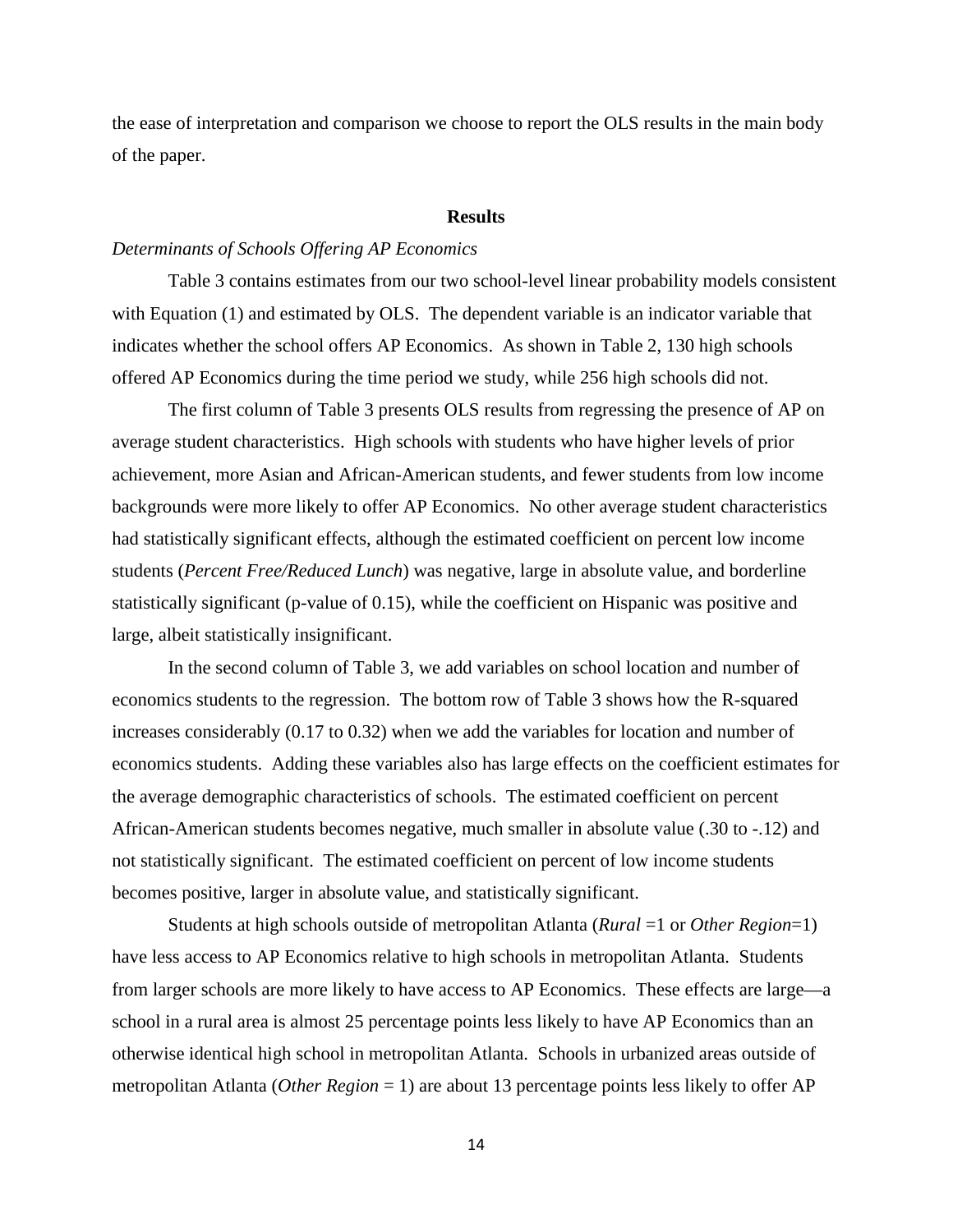the ease of interpretation and comparison we choose to report the OLS results in the main body of the paper.

# **Results**

# *Determinants of Schools Offering AP Economics*

Table 3 contains estimates from our two school-level linear probability models consistent with Equation (1) and estimated by OLS. The dependent variable is an indicator variable that indicates whether the school offers AP Economics. As shown in Table 2, 130 high schools offered AP Economics during the time period we study, while 256 high schools did not.

The first column of Table 3 presents OLS results from regressing the presence of AP on average student characteristics. High schools with students who have higher levels of prior achievement, more Asian and African-American students, and fewer students from low income backgrounds were more likely to offer AP Economics. No other average student characteristics had statistically significant effects, although the estimated coefficient on percent low income students (*Percent Free/Reduced Lunch*) was negative, large in absolute value, and borderline statistically significant (p-value of 0.15), while the coefficient on Hispanic was positive and large, albeit statistically insignificant.

In the second column of Table 3, we add variables on school location and number of economics students to the regression. The bottom row of Table 3 shows how the R-squared increases considerably (0.17 to 0.32) when we add the variables for location and number of economics students. Adding these variables also has large effects on the coefficient estimates for the average demographic characteristics of schools. The estimated coefficient on percent African-American students becomes negative, much smaller in absolute value (.30 to -.12) and not statistically significant. The estimated coefficient on percent of low income students becomes positive, larger in absolute value, and statistically significant.

Students at high schools outside of metropolitan Atlanta (*Rural* =1 or *Other Region*=1) have less access to AP Economics relative to high schools in metropolitan Atlanta. Students from larger schools are more likely to have access to AP Economics. These effects are large—a school in a rural area is almost 25 percentage points less likely to have AP Economics than an otherwise identical high school in metropolitan Atlanta. Schools in urbanized areas outside of metropolitan Atlanta (*Other Region* = 1) are about 13 percentage points less likely to offer AP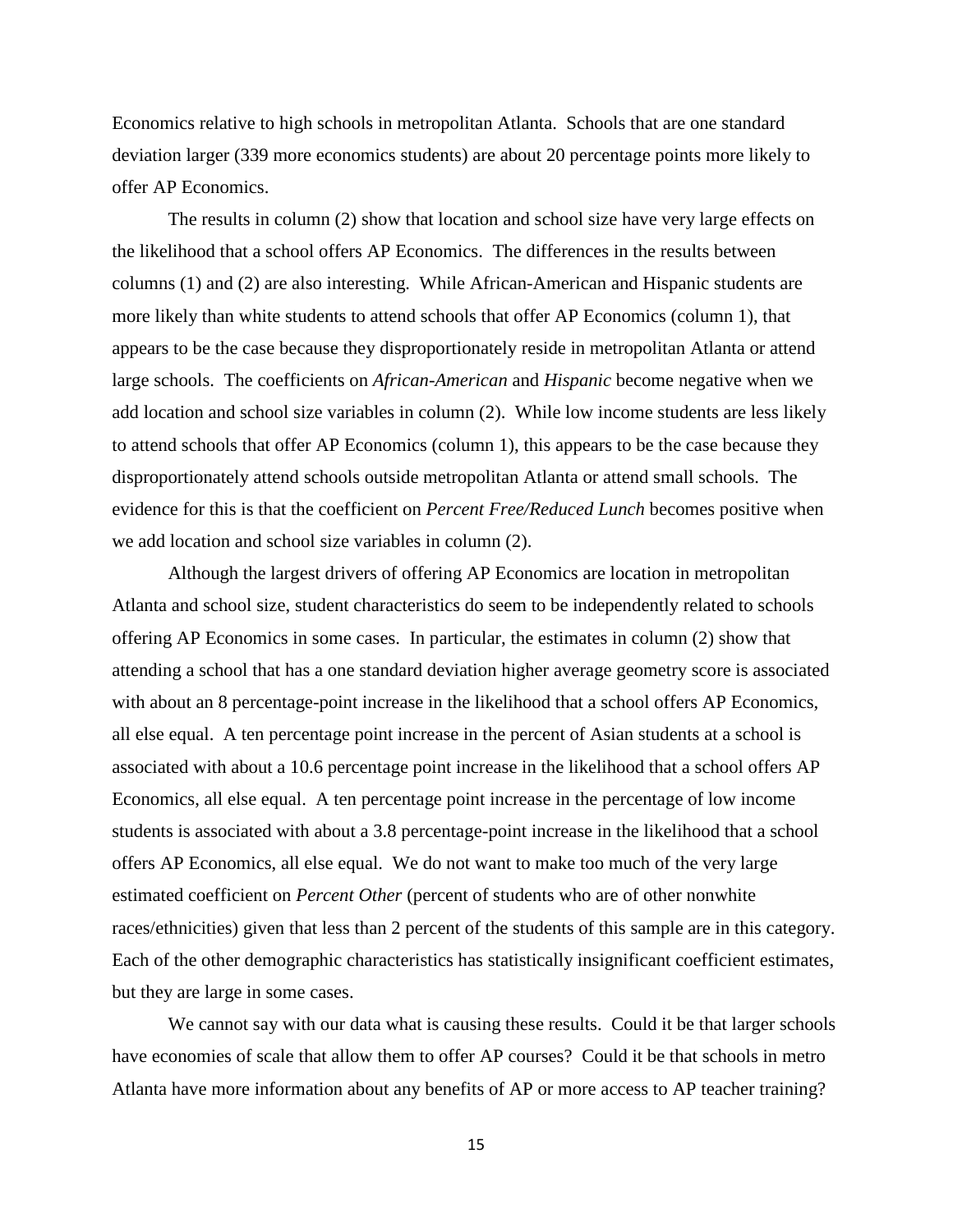Economics relative to high schools in metropolitan Atlanta. Schools that are one standard deviation larger (339 more economics students) are about 20 percentage points more likely to offer AP Economics.

The results in column (2) show that location and school size have very large effects on the likelihood that a school offers AP Economics. The differences in the results between columns (1) and (2) are also interesting. While African-American and Hispanic students are more likely than white students to attend schools that offer AP Economics (column 1), that appears to be the case because they disproportionately reside in metropolitan Atlanta or attend large schools. The coefficients on *African-American* and *Hispanic* become negative when we add location and school size variables in column (2). While low income students are less likely to attend schools that offer AP Economics (column 1), this appears to be the case because they disproportionately attend schools outside metropolitan Atlanta or attend small schools. The evidence for this is that the coefficient on *Percent Free/Reduced Lunch* becomes positive when we add location and school size variables in column (2).

Although the largest drivers of offering AP Economics are location in metropolitan Atlanta and school size, student characteristics do seem to be independently related to schools offering AP Economics in some cases. In particular, the estimates in column (2) show that attending a school that has a one standard deviation higher average geometry score is associated with about an 8 percentage-point increase in the likelihood that a school offers AP Economics, all else equal. A ten percentage point increase in the percent of Asian students at a school is associated with about a 10.6 percentage point increase in the likelihood that a school offers AP Economics, all else equal. A ten percentage point increase in the percentage of low income students is associated with about a 3.8 percentage-point increase in the likelihood that a school offers AP Economics, all else equal. We do not want to make too much of the very large estimated coefficient on *Percent Other* (percent of students who are of other nonwhite races/ethnicities) given that less than 2 percent of the students of this sample are in this category. Each of the other demographic characteristics has statistically insignificant coefficient estimates, but they are large in some cases.

We cannot say with our data what is causing these results. Could it be that larger schools have economies of scale that allow them to offer AP courses? Could it be that schools in metro Atlanta have more information about any benefits of AP or more access to AP teacher training?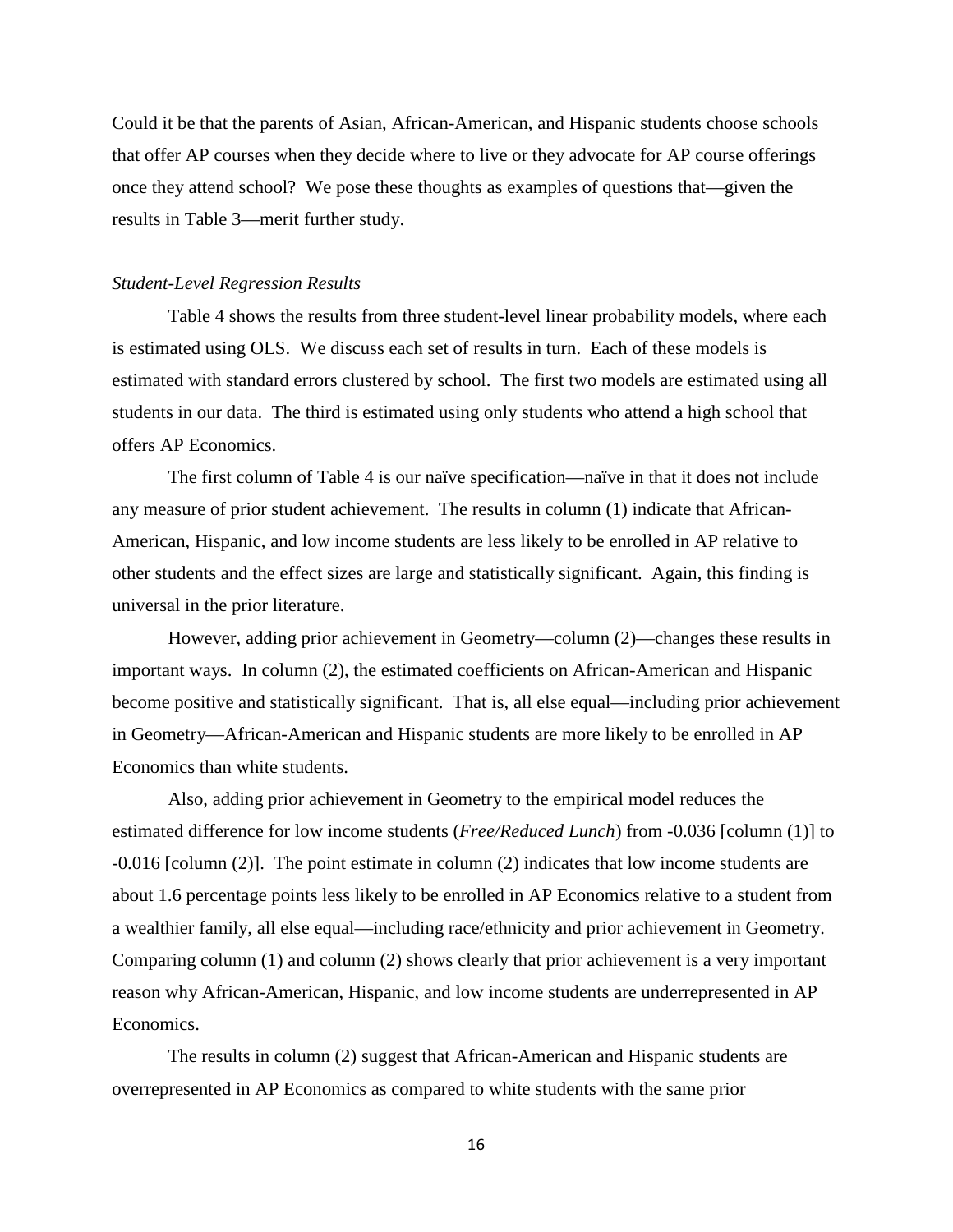Could it be that the parents of Asian, African-American, and Hispanic students choose schools that offer AP courses when they decide where to live or they advocate for AP course offerings once they attend school? We pose these thoughts as examples of questions that—given the results in Table 3—merit further study.

#### *Student-Level Regression Results*

Table 4 shows the results from three student-level linear probability models, where each is estimated using OLS. We discuss each set of results in turn. Each of these models is estimated with standard errors clustered by school. The first two models are estimated using all students in our data. The third is estimated using only students who attend a high school that offers AP Economics.

The first column of Table 4 is our naïve specification—naïve in that it does not include any measure of prior student achievement. The results in column (1) indicate that African-American, Hispanic, and low income students are less likely to be enrolled in AP relative to other students and the effect sizes are large and statistically significant. Again, this finding is universal in the prior literature.

However, adding prior achievement in Geometry—column (2)—changes these results in important ways. In column (2), the estimated coefficients on African-American and Hispanic become positive and statistically significant. That is, all else equal—including prior achievement in Geometry—African-American and Hispanic students are more likely to be enrolled in AP Economics than white students.

Also, adding prior achievement in Geometry to the empirical model reduces the estimated difference for low income students (*Free/Reduced Lunch*) from -0.036 [column (1)] to -0.016 [column (2)]. The point estimate in column (2) indicates that low income students are about 1.6 percentage points less likely to be enrolled in AP Economics relative to a student from a wealthier family, all else equal—including race/ethnicity and prior achievement in Geometry. Comparing column (1) and column (2) shows clearly that prior achievement is a very important reason why African-American, Hispanic, and low income students are underrepresented in AP Economics.

The results in column (2) suggest that African-American and Hispanic students are overrepresented in AP Economics as compared to white students with the same prior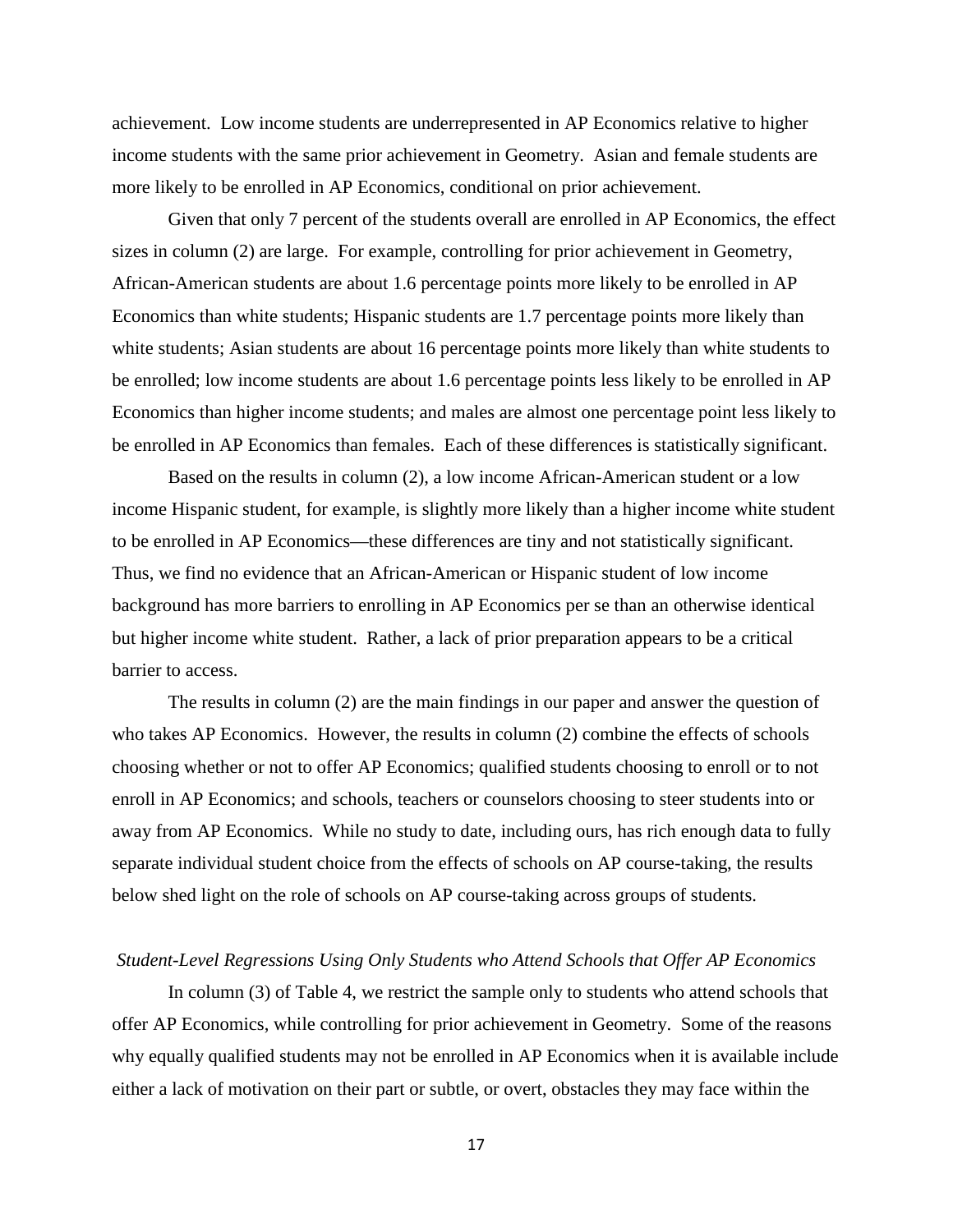achievement. Low income students are underrepresented in AP Economics relative to higher income students with the same prior achievement in Geometry. Asian and female students are more likely to be enrolled in AP Economics, conditional on prior achievement.

Given that only 7 percent of the students overall are enrolled in AP Economics, the effect sizes in column (2) are large. For example, controlling for prior achievement in Geometry, African-American students are about 1.6 percentage points more likely to be enrolled in AP Economics than white students; Hispanic students are 1.7 percentage points more likely than white students; Asian students are about 16 percentage points more likely than white students to be enrolled; low income students are about 1.6 percentage points less likely to be enrolled in AP Economics than higher income students; and males are almost one percentage point less likely to be enrolled in AP Economics than females. Each of these differences is statistically significant.

Based on the results in column (2), a low income African-American student or a low income Hispanic student, for example, is slightly more likely than a higher income white student to be enrolled in AP Economics—these differences are tiny and not statistically significant. Thus, we find no evidence that an African-American or Hispanic student of low income background has more barriers to enrolling in AP Economics per se than an otherwise identical but higher income white student. Rather, a lack of prior preparation appears to be a critical barrier to access.

The results in column (2) are the main findings in our paper and answer the question of who takes AP Economics. However, the results in column (2) combine the effects of schools choosing whether or not to offer AP Economics; qualified students choosing to enroll or to not enroll in AP Economics; and schools, teachers or counselors choosing to steer students into or away from AP Economics. While no study to date, including ours, has rich enough data to fully separate individual student choice from the effects of schools on AP course-taking, the results below shed light on the role of schools on AP course-taking across groups of students.

# *Student-Level Regressions Using Only Students who Attend Schools that Offer AP Economics*

In column (3) of Table 4, we restrict the sample only to students who attend schools that offer AP Economics, while controlling for prior achievement in Geometry. Some of the reasons why equally qualified students may not be enrolled in AP Economics when it is available include either a lack of motivation on their part or subtle, or overt, obstacles they may face within the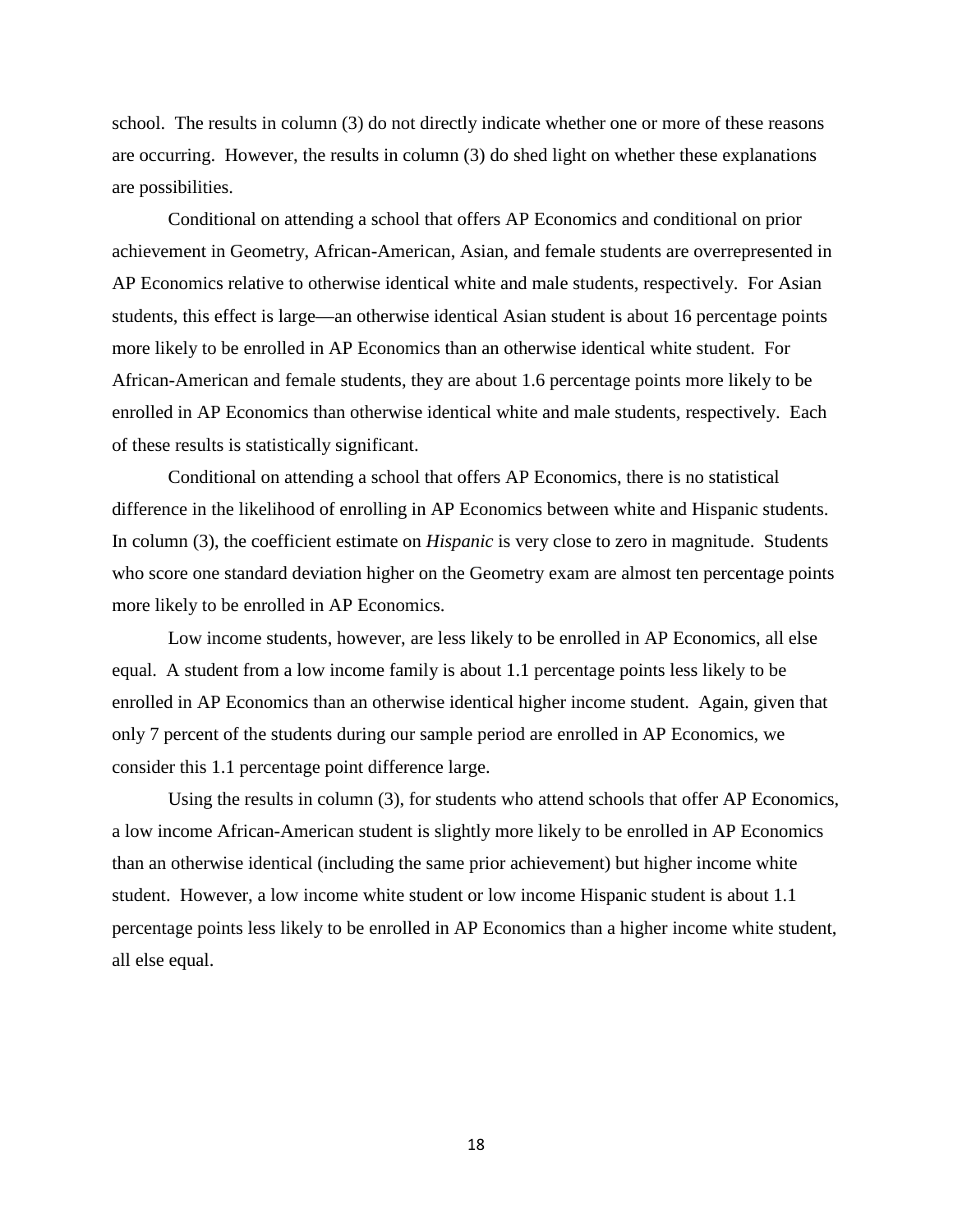school. The results in column (3) do not directly indicate whether one or more of these reasons are occurring. However, the results in column (3) do shed light on whether these explanations are possibilities.

Conditional on attending a school that offers AP Economics and conditional on prior achievement in Geometry, African-American, Asian, and female students are overrepresented in AP Economics relative to otherwise identical white and male students, respectively. For Asian students, this effect is large—an otherwise identical Asian student is about 16 percentage points more likely to be enrolled in AP Economics than an otherwise identical white student. For African-American and female students, they are about 1.6 percentage points more likely to be enrolled in AP Economics than otherwise identical white and male students, respectively. Each of these results is statistically significant.

Conditional on attending a school that offers AP Economics, there is no statistical difference in the likelihood of enrolling in AP Economics between white and Hispanic students. In column (3), the coefficient estimate on *Hispanic* is very close to zero in magnitude. Students who score one standard deviation higher on the Geometry exam are almost ten percentage points more likely to be enrolled in AP Economics.

Low income students, however, are less likely to be enrolled in AP Economics, all else equal. A student from a low income family is about 1.1 percentage points less likely to be enrolled in AP Economics than an otherwise identical higher income student. Again, given that only 7 percent of the students during our sample period are enrolled in AP Economics, we consider this 1.1 percentage point difference large.

Using the results in column (3), for students who attend schools that offer AP Economics, a low income African-American student is slightly more likely to be enrolled in AP Economics than an otherwise identical (including the same prior achievement) but higher income white student. However, a low income white student or low income Hispanic student is about 1.1 percentage points less likely to be enrolled in AP Economics than a higher income white student, all else equal.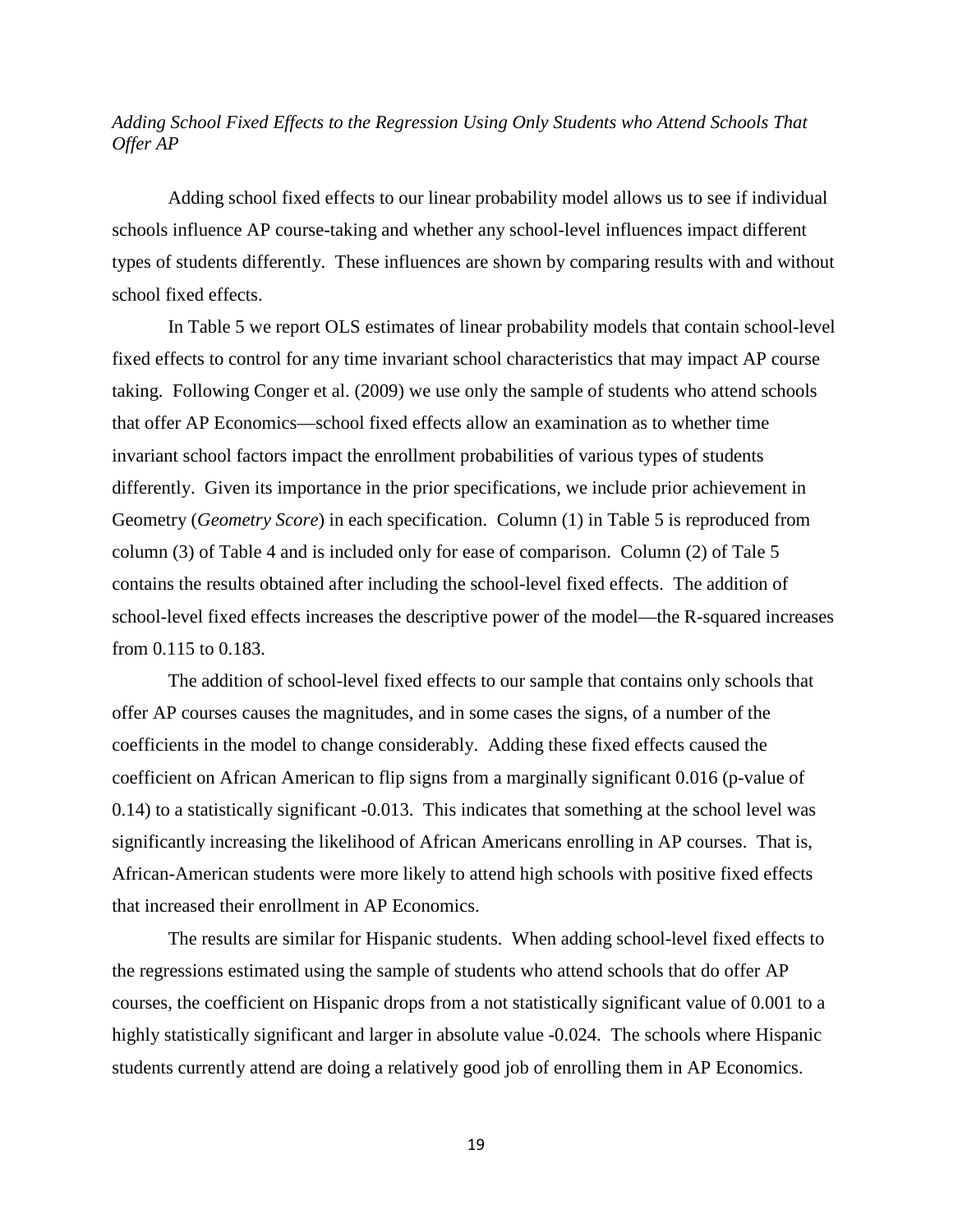# *Adding School Fixed Effects to the Regression Using Only Students who Attend Schools That Offer AP*

Adding school fixed effects to our linear probability model allows us to see if individual schools influence AP course-taking and whether any school-level influences impact different types of students differently. These influences are shown by comparing results with and without school fixed effects.

In Table 5 we report OLS estimates of linear probability models that contain school-level fixed effects to control for any time invariant school characteristics that may impact AP course taking. Following Conger et al. (2009) we use only the sample of students who attend schools that offer AP Economics—school fixed effects allow an examination as to whether time invariant school factors impact the enrollment probabilities of various types of students differently. Given its importance in the prior specifications, we include prior achievement in Geometry (*Geometry Score*) in each specification. Column (1) in Table 5 is reproduced from column (3) of Table 4 and is included only for ease of comparison. Column (2) of Tale 5 contains the results obtained after including the school-level fixed effects. The addition of school-level fixed effects increases the descriptive power of the model—the R-squared increases from 0.115 to 0.183.

The addition of school-level fixed effects to our sample that contains only schools that offer AP courses causes the magnitudes, and in some cases the signs, of a number of the coefficients in the model to change considerably. Adding these fixed effects caused the coefficient on African American to flip signs from a marginally significant 0.016 (p-value of 0.14) to a statistically significant -0.013. This indicates that something at the school level was significantly increasing the likelihood of African Americans enrolling in AP courses. That is, African-American students were more likely to attend high schools with positive fixed effects that increased their enrollment in AP Economics.

 The results are similar for Hispanic students. When adding school-level fixed effects to the regressions estimated using the sample of students who attend schools that do offer AP courses, the coefficient on Hispanic drops from a not statistically significant value of 0.001 to a highly statistically significant and larger in absolute value -0.024. The schools where Hispanic students currently attend are doing a relatively good job of enrolling them in AP Economics.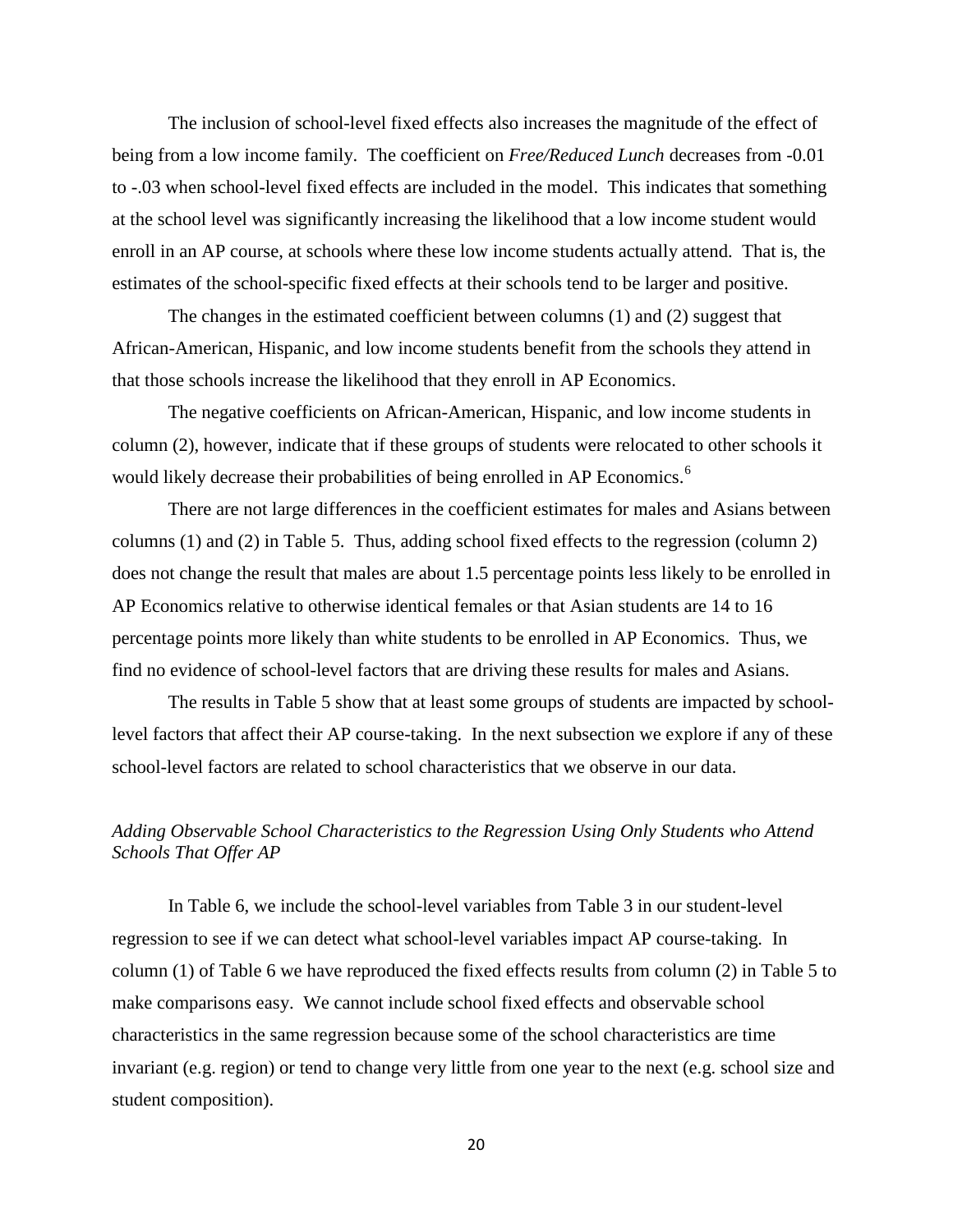The inclusion of school-level fixed effects also increases the magnitude of the effect of being from a low income family. The coefficient on *Free/Reduced Lunch* decreases from -0.01 to -.03 when school-level fixed effects are included in the model. This indicates that something at the school level was significantly increasing the likelihood that a low income student would enroll in an AP course, at schools where these low income students actually attend. That is, the estimates of the school-specific fixed effects at their schools tend to be larger and positive.

The changes in the estimated coefficient between columns (1) and (2) suggest that African-American, Hispanic, and low income students benefit from the schools they attend in that those schools increase the likelihood that they enroll in AP Economics.

The negative coefficients on African-American, Hispanic, and low income students in column (2), however, indicate that if these groups of students were relocated to other schools it would likely decrease their probabilities of being enrolled in AP Economics.<sup>[6](#page-33-0)</sup>

There are not large differences in the coefficient estimates for males and Asians between columns (1) and (2) in Table 5. Thus, adding school fixed effects to the regression (column 2) does not change the result that males are about 1.5 percentage points less likely to be enrolled in AP Economics relative to otherwise identical females or that Asian students are 14 to 16 percentage points more likely than white students to be enrolled in AP Economics. Thus, we find no evidence of school-level factors that are driving these results for males and Asians.

The results in Table 5 show that at least some groups of students are impacted by schoollevel factors that affect their AP course-taking. In the next subsection we explore if any of these school-level factors are related to school characteristics that we observe in our data.

# *Adding Observable School Characteristics to the Regression Using Only Students who Attend Schools That Offer AP*

In Table 6, we include the school-level variables from Table 3 in our student-level regression to see if we can detect what school-level variables impact AP course-taking. In column (1) of Table 6 we have reproduced the fixed effects results from column (2) in Table 5 to make comparisons easy. We cannot include school fixed effects and observable school characteristics in the same regression because some of the school characteristics are time invariant (e.g. region) or tend to change very little from one year to the next (e.g. school size and student composition).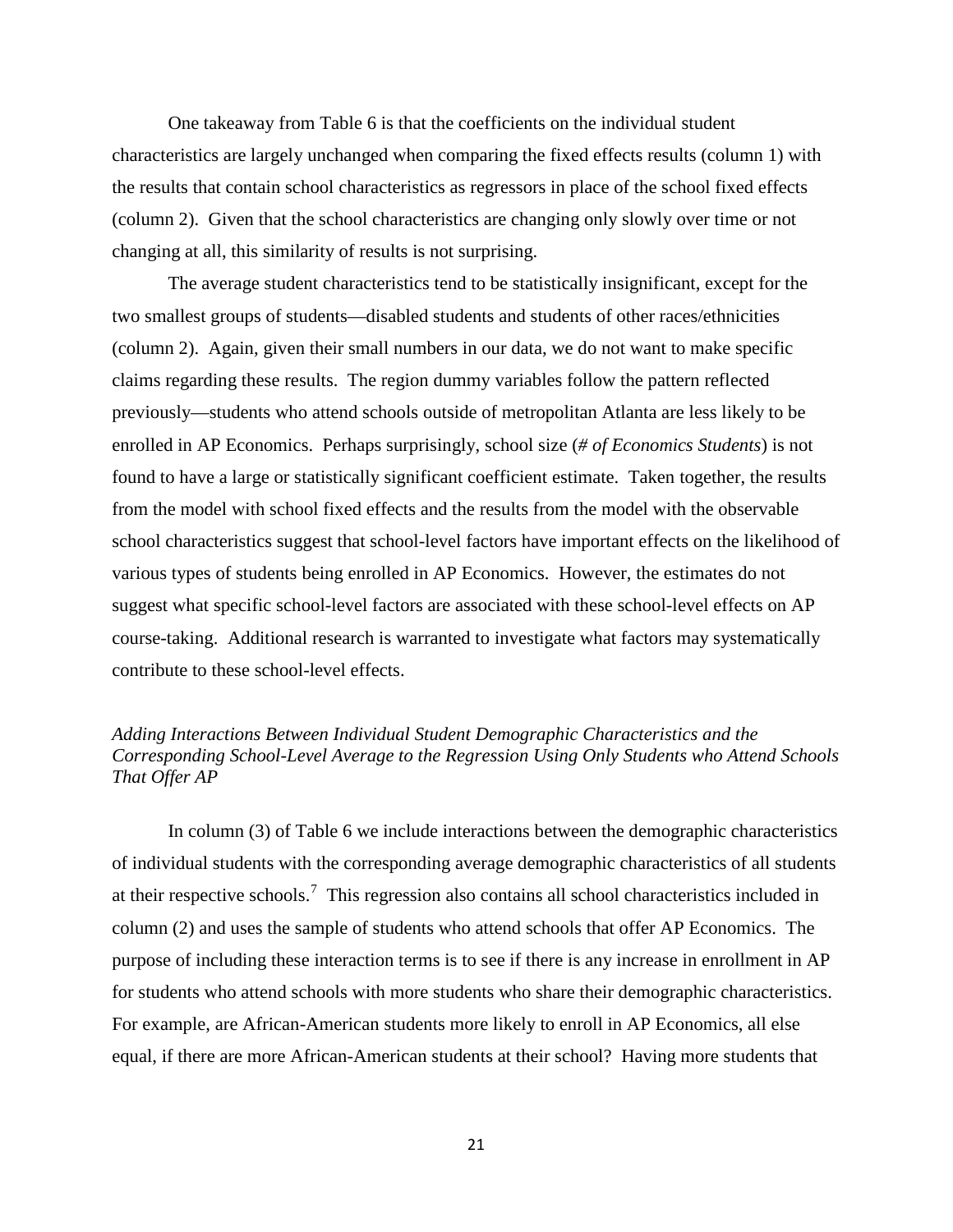One takeaway from Table 6 is that the coefficients on the individual student characteristics are largely unchanged when comparing the fixed effects results (column 1) with the results that contain school characteristics as regressors in place of the school fixed effects (column 2). Given that the school characteristics are changing only slowly over time or not changing at all, this similarity of results is not surprising.

The average student characteristics tend to be statistically insignificant, except for the two smallest groups of students—disabled students and students of other races/ethnicities (column 2). Again, given their small numbers in our data, we do not want to make specific claims regarding these results. The region dummy variables follow the pattern reflected previously—students who attend schools outside of metropolitan Atlanta are less likely to be enrolled in AP Economics. Perhaps surprisingly, school size (*# of Economics Students*) is not found to have a large or statistically significant coefficient estimate. Taken together, the results from the model with school fixed effects and the results from the model with the observable school characteristics suggest that school-level factors have important effects on the likelihood of various types of students being enrolled in AP Economics. However, the estimates do not suggest what specific school-level factors are associated with these school-level effects on AP course-taking. Additional research is warranted to investigate what factors may systematically contribute to these school-level effects.

# *Adding Interactions Between Individual Student Demographic Characteristics and the Corresponding School-Level Average to the Regression Using Only Students who Attend Schools That Offer AP*

In column (3) of Table 6 we include interactions between the demographic characteristics of individual students with the corresponding average demographic characteristics of all students at their respective schools.<sup>[7](#page-33-1)</sup> This regression also contains all school characteristics included in column (2) and uses the sample of students who attend schools that offer AP Economics. The purpose of including these interaction terms is to see if there is any increase in enrollment in AP for students who attend schools with more students who share their demographic characteristics. For example, are African-American students more likely to enroll in AP Economics, all else equal, if there are more African-American students at their school? Having more students that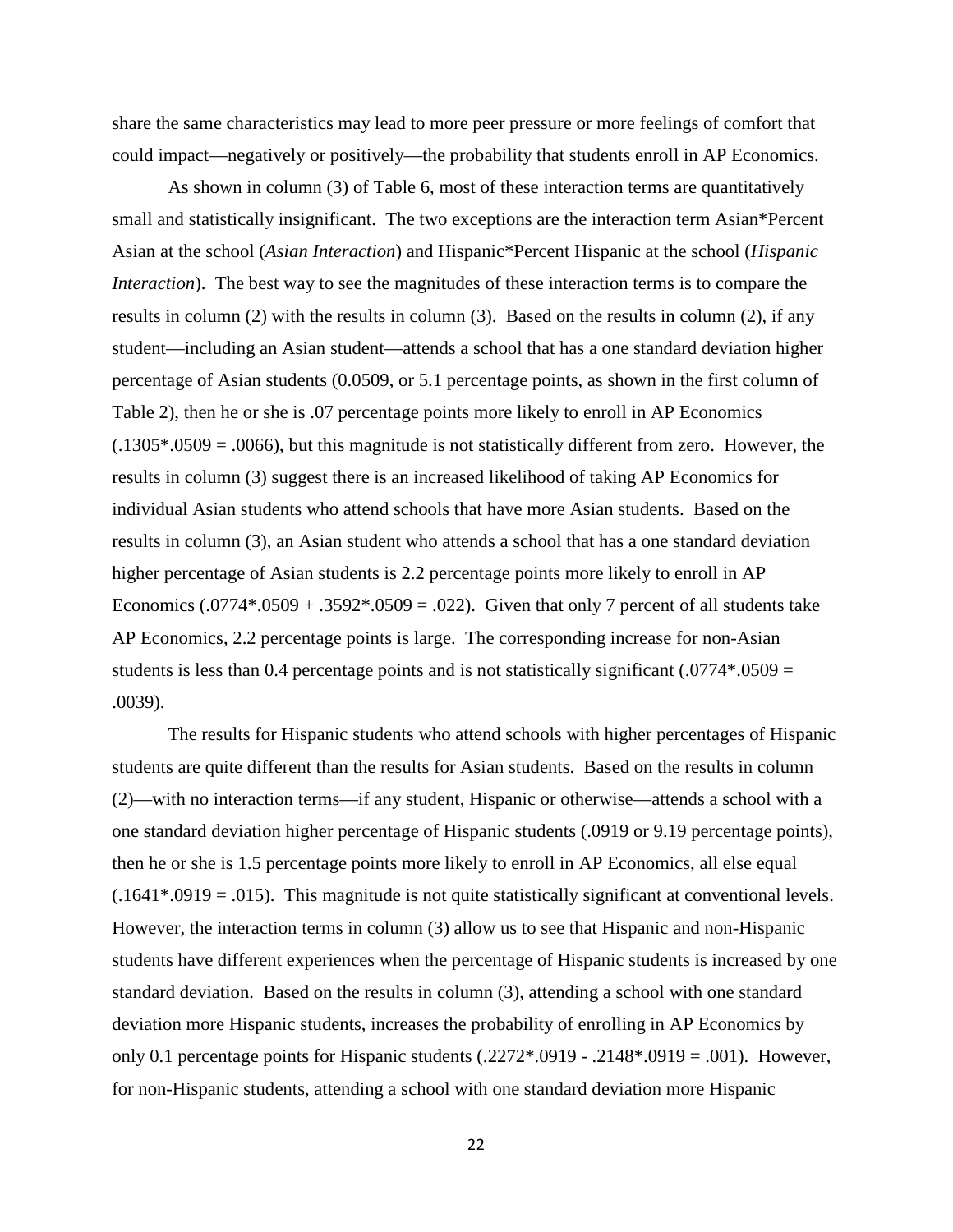share the same characteristics may lead to more peer pressure or more feelings of comfort that could impact—negatively or positively—the probability that students enroll in AP Economics.

As shown in column (3) of Table 6, most of these interaction terms are quantitatively small and statistically insignificant. The two exceptions are the interaction term Asian\*Percent Asian at the school (*Asian Interaction*) and Hispanic\*Percent Hispanic at the school (*Hispanic Interaction*). The best way to see the magnitudes of these interaction terms is to compare the results in column (2) with the results in column (3). Based on the results in column (2), if any student—including an Asian student—attends a school that has a one standard deviation higher percentage of Asian students (0.0509, or 5.1 percentage points, as shown in the first column of Table 2), then he or she is .07 percentage points more likely to enroll in AP Economics  $(.1305*.0509 = .0066)$ , but this magnitude is not statistically different from zero. However, the results in column (3) suggest there is an increased likelihood of taking AP Economics for individual Asian students who attend schools that have more Asian students. Based on the results in column (3), an Asian student who attends a school that has a one standard deviation higher percentage of Asian students is 2.2 percentage points more likely to enroll in AP Economics  $(.0774*.0509 + .3592*.0509 = .022)$ . Given that only 7 percent of all students take AP Economics, 2.2 percentage points is large. The corresponding increase for non-Asian students is less than 0.4 percentage points and is not statistically significant  $(.0774*.0509 =$ .0039).

The results for Hispanic students who attend schools with higher percentages of Hispanic students are quite different than the results for Asian students. Based on the results in column (2)—with no interaction terms—if any student, Hispanic or otherwise—attends a school with a one standard deviation higher percentage of Hispanic students (.0919 or 9.19 percentage points), then he or she is 1.5 percentage points more likely to enroll in AP Economics, all else equal  $(.1641*.0919 = .015)$ . This magnitude is not quite statistically significant at conventional levels. However, the interaction terms in column (3) allow us to see that Hispanic and non-Hispanic students have different experiences when the percentage of Hispanic students is increased by one standard deviation. Based on the results in column (3), attending a school with one standard deviation more Hispanic students, increases the probability of enrolling in AP Economics by only 0.1 percentage points for Hispanic students  $(.2272^*.0919 - .2148^*.0919 = .001)$ . However, for non-Hispanic students, attending a school with one standard deviation more Hispanic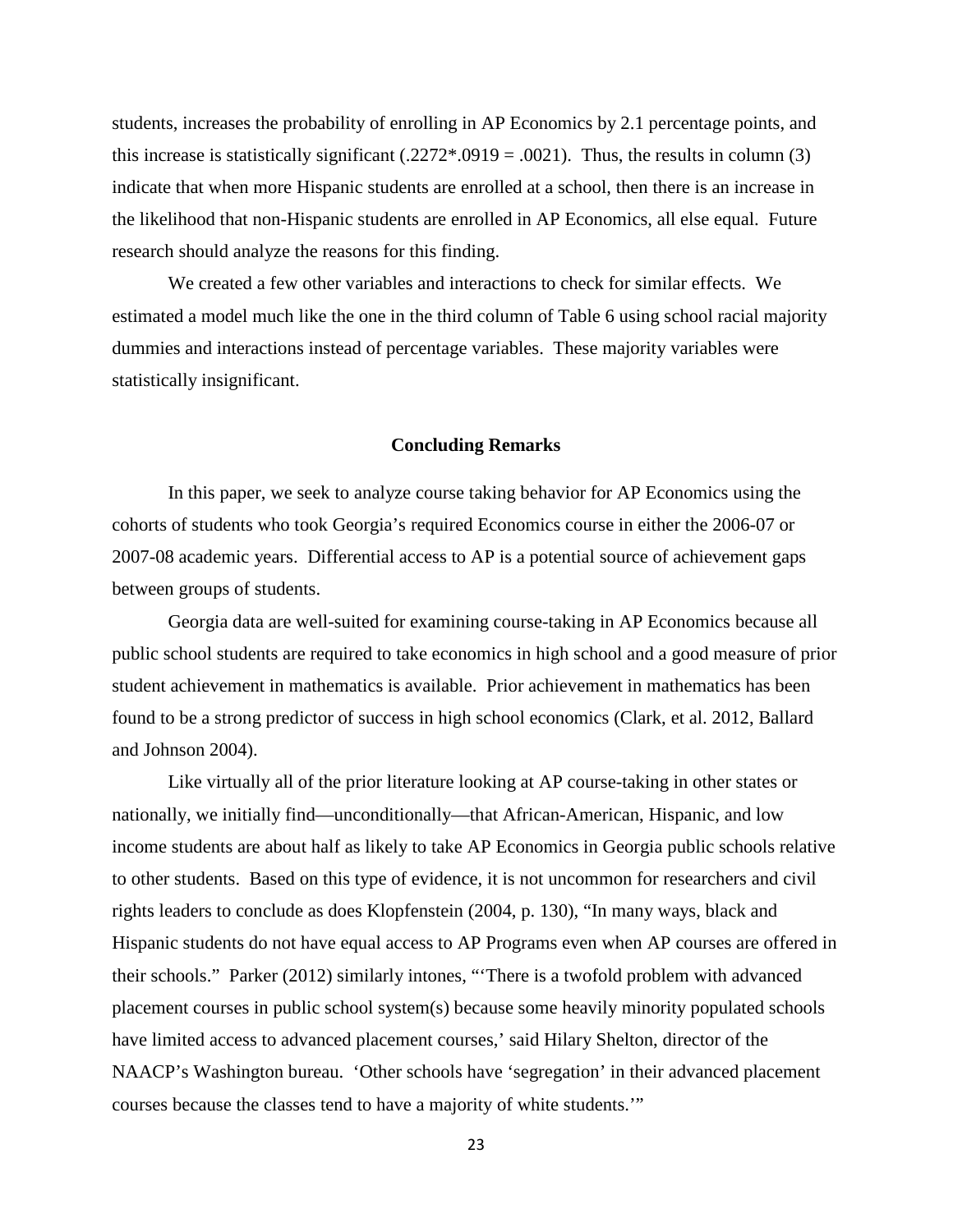students, increases the probability of enrolling in AP Economics by 2.1 percentage points, and this increase is statistically significant (.2272\*.0919 = .0021). Thus, the results in column (3) indicate that when more Hispanic students are enrolled at a school, then there is an increase in the likelihood that non-Hispanic students are enrolled in AP Economics, all else equal. Future research should analyze the reasons for this finding.

We created a few other variables and interactions to check for similar effects. We estimated a model much like the one in the third column of Table 6 using school racial majority dummies and interactions instead of percentage variables. These majority variables were statistically insignificant.

### **Concluding Remarks**

In this paper, we seek to analyze course taking behavior for AP Economics using the cohorts of students who took Georgia's required Economics course in either the 2006-07 or 2007-08 academic years. Differential access to AP is a potential source of achievement gaps between groups of students.

Georgia data are well-suited for examining course-taking in AP Economics because all public school students are required to take economics in high school and a good measure of prior student achievement in mathematics is available. Prior achievement in mathematics has been found to be a strong predictor of success in high school economics (Clark, et al. 2012, Ballard and Johnson 2004).

Like virtually all of the prior literature looking at AP course-taking in other states or nationally, we initially find—unconditionally—that African-American, Hispanic, and low income students are about half as likely to take AP Economics in Georgia public schools relative to other students. Based on this type of evidence, it is not uncommon for researchers and civil rights leaders to conclude as does Klopfenstein (2004, p. 130), "In many ways, black and Hispanic students do not have equal access to AP Programs even when AP courses are offered in their schools." Parker (2012) similarly intones, "'There is a twofold problem with advanced placement courses in public school system(s) because some heavily minority populated schools have limited access to advanced placement courses,' said Hilary Shelton, director of the NAACP's Washington bureau. 'Other schools have 'segregation' in their advanced placement courses because the classes tend to have a majority of white students.'"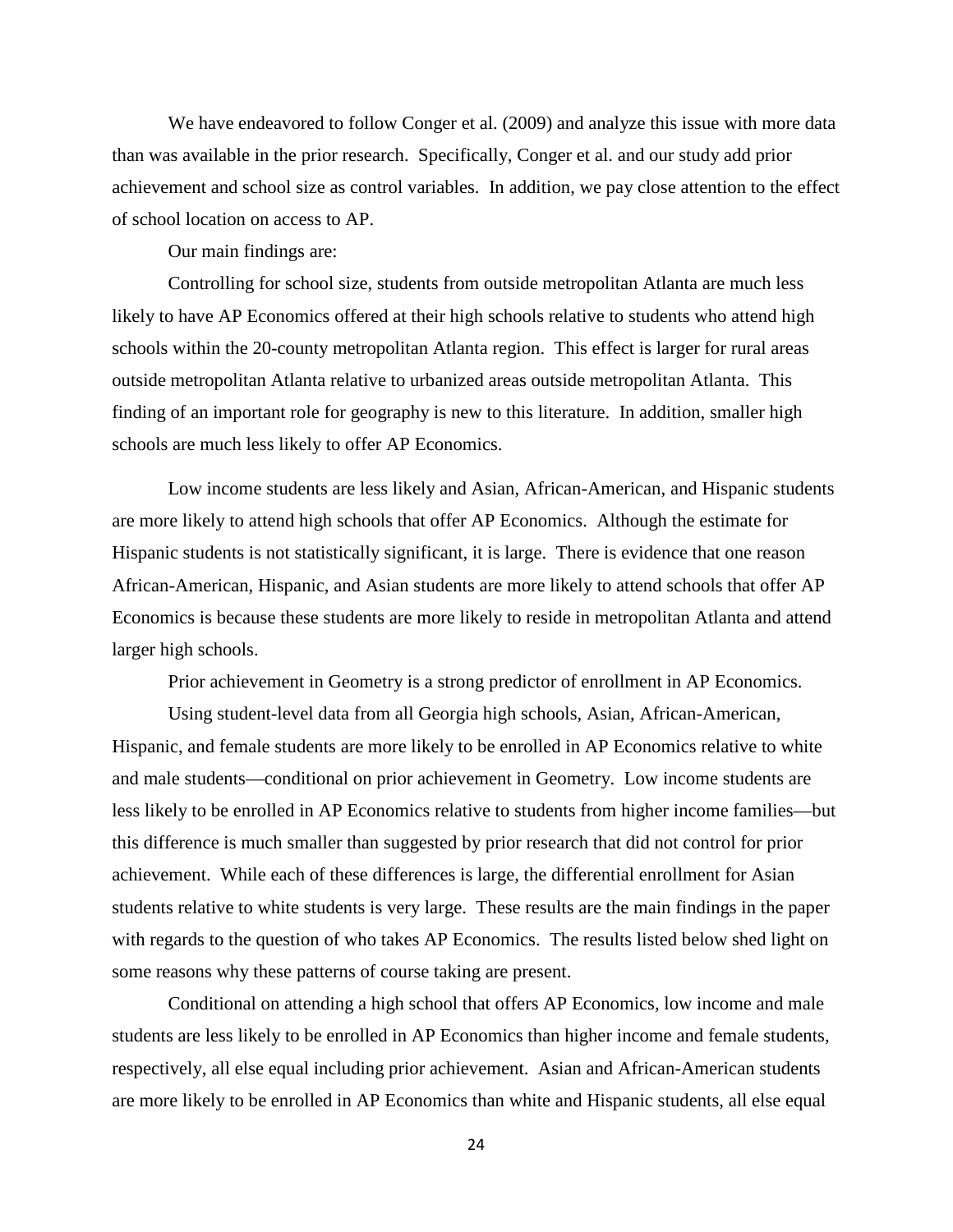We have endeavored to follow Conger et al. (2009) and analyze this issue with more data than was available in the prior research. Specifically, Conger et al. and our study add prior achievement and school size as control variables. In addition, we pay close attention to the effect of school location on access to AP.

Our main findings are:

Controlling for school size, students from outside metropolitan Atlanta are much less likely to have AP Economics offered at their high schools relative to students who attend high schools within the 20-county metropolitan Atlanta region. This effect is larger for rural areas outside metropolitan Atlanta relative to urbanized areas outside metropolitan Atlanta. This finding of an important role for geography is new to this literature. In addition, smaller high schools are much less likely to offer AP Economics.

Low income students are less likely and Asian, African-American, and Hispanic students are more likely to attend high schools that offer AP Economics. Although the estimate for Hispanic students is not statistically significant, it is large. There is evidence that one reason African-American, Hispanic, and Asian students are more likely to attend schools that offer AP Economics is because these students are more likely to reside in metropolitan Atlanta and attend larger high schools.

Prior achievement in Geometry is a strong predictor of enrollment in AP Economics.

Using student-level data from all Georgia high schools, Asian, African-American, Hispanic, and female students are more likely to be enrolled in AP Economics relative to white and male students—conditional on prior achievement in Geometry. Low income students are less likely to be enrolled in AP Economics relative to students from higher income families—but this difference is much smaller than suggested by prior research that did not control for prior achievement. While each of these differences is large, the differential enrollment for Asian students relative to white students is very large. These results are the main findings in the paper with regards to the question of who takes AP Economics. The results listed below shed light on some reasons why these patterns of course taking are present.

Conditional on attending a high school that offers AP Economics, low income and male students are less likely to be enrolled in AP Economics than higher income and female students, respectively, all else equal including prior achievement. Asian and African-American students are more likely to be enrolled in AP Economics than white and Hispanic students, all else equal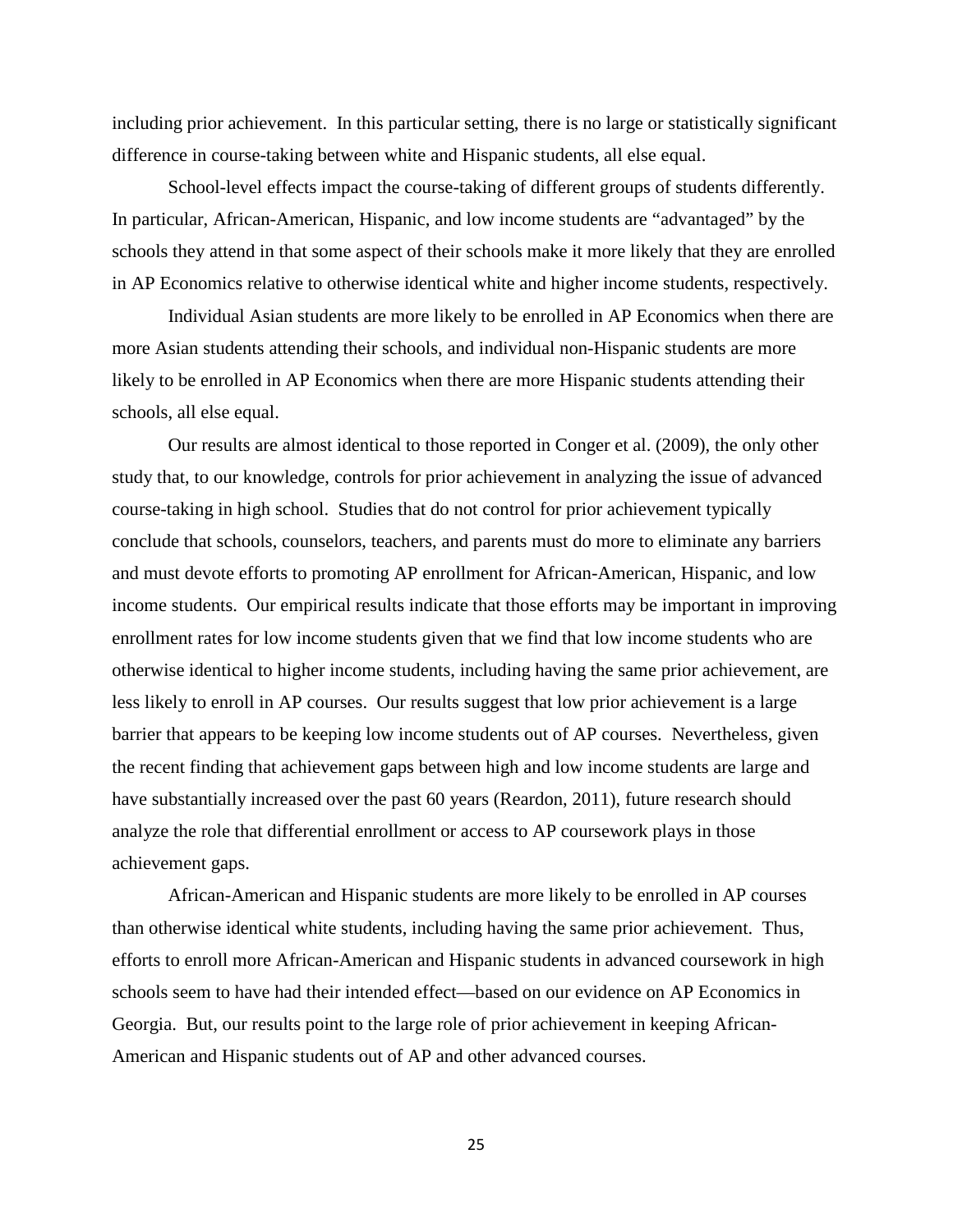including prior achievement. In this particular setting, there is no large or statistically significant difference in course-taking between white and Hispanic students, all else equal.

School-level effects impact the course-taking of different groups of students differently. In particular, African-American, Hispanic, and low income students are "advantaged" by the schools they attend in that some aspect of their schools make it more likely that they are enrolled in AP Economics relative to otherwise identical white and higher income students, respectively.

Individual Asian students are more likely to be enrolled in AP Economics when there are more Asian students attending their schools, and individual non-Hispanic students are more likely to be enrolled in AP Economics when there are more Hispanic students attending their schools, all else equal.

Our results are almost identical to those reported in Conger et al. (2009), the only other study that, to our knowledge, controls for prior achievement in analyzing the issue of advanced course-taking in high school. Studies that do not control for prior achievement typically conclude that schools, counselors, teachers, and parents must do more to eliminate any barriers and must devote efforts to promoting AP enrollment for African-American, Hispanic, and low income students. Our empirical results indicate that those efforts may be important in improving enrollment rates for low income students given that we find that low income students who are otherwise identical to higher income students, including having the same prior achievement, are less likely to enroll in AP courses. Our results suggest that low prior achievement is a large barrier that appears to be keeping low income students out of AP courses. Nevertheless, given the recent finding that achievement gaps between high and low income students are large and have substantially increased over the past 60 years (Reardon, 2011), future research should analyze the role that differential enrollment or access to AP coursework plays in those achievement gaps.

African-American and Hispanic students are more likely to be enrolled in AP courses than otherwise identical white students, including having the same prior achievement. Thus, efforts to enroll more African-American and Hispanic students in advanced coursework in high schools seem to have had their intended effect—based on our evidence on AP Economics in Georgia. But, our results point to the large role of prior achievement in keeping African-American and Hispanic students out of AP and other advanced courses.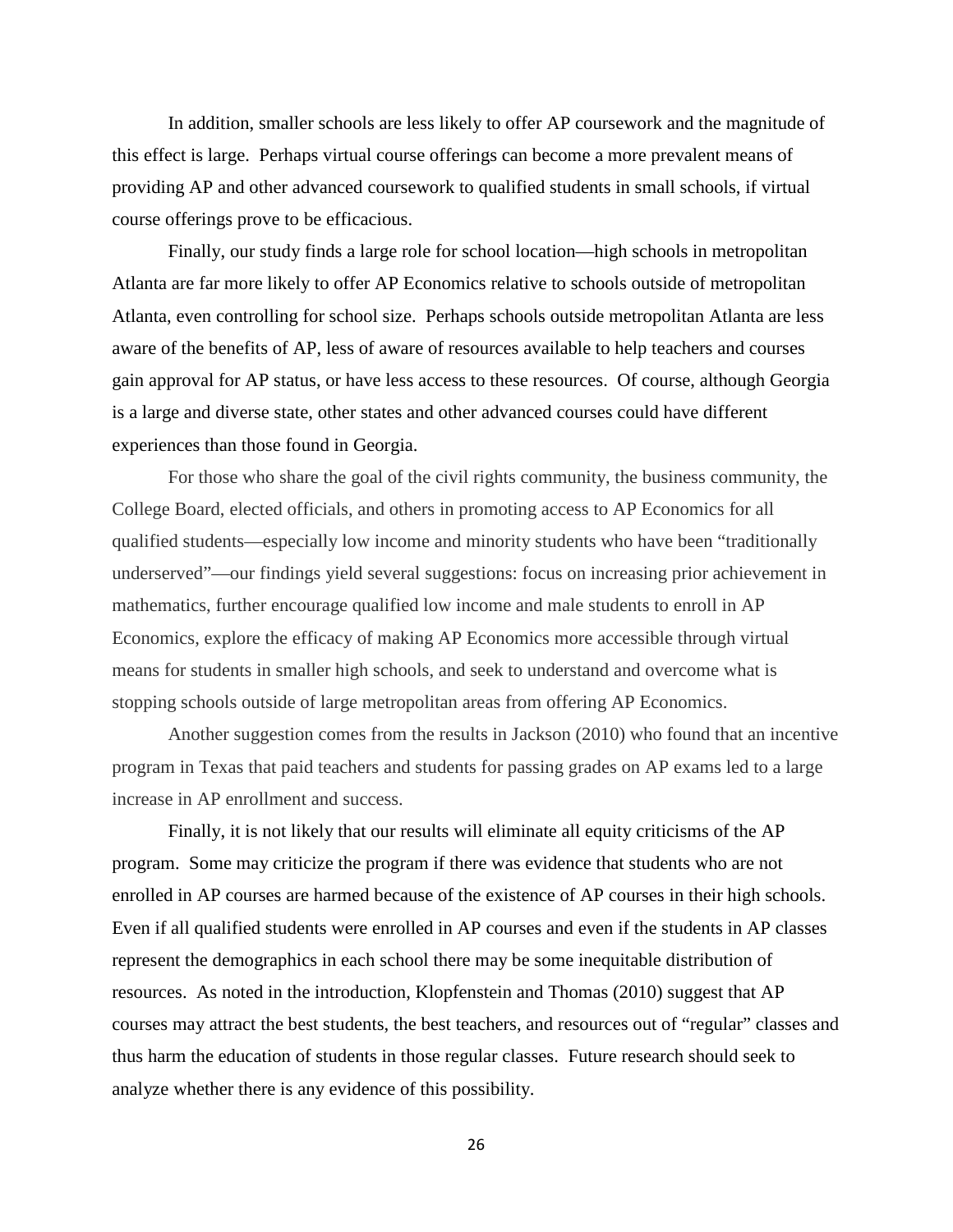In addition, smaller schools are less likely to offer AP coursework and the magnitude of this effect is large. Perhaps virtual course offerings can become a more prevalent means of providing AP and other advanced coursework to qualified students in small schools, if virtual course offerings prove to be efficacious.

Finally, our study finds a large role for school location—high schools in metropolitan Atlanta are far more likely to offer AP Economics relative to schools outside of metropolitan Atlanta, even controlling for school size. Perhaps schools outside metropolitan Atlanta are less aware of the benefits of AP, less of aware of resources available to help teachers and courses gain approval for AP status, or have less access to these resources. Of course, although Georgia is a large and diverse state, other states and other advanced courses could have different experiences than those found in Georgia.

For those who share the goal of the civil rights community, the business community, the College Board, elected officials, and others in promoting access to AP Economics for all qualified students—especially low income and minority students who have been "traditionally underserved"—our findings yield several suggestions: focus on increasing prior achievement in mathematics, further encourage qualified low income and male students to enroll in AP Economics, explore the efficacy of making AP Economics more accessible through virtual means for students in smaller high schools, and seek to understand and overcome what is stopping schools outside of large metropolitan areas from offering AP Economics.

Another suggestion comes from the results in Jackson (2010) who found that an incentive program in Texas that paid teachers and students for passing grades on AP exams led to a large increase in AP enrollment and success.

 Finally, it is not likely that our results will eliminate all equity criticisms of the AP program. Some may criticize the program if there was evidence that students who are not enrolled in AP courses are harmed because of the existence of AP courses in their high schools. Even if all qualified students were enrolled in AP courses and even if the students in AP classes represent the demographics in each school there may be some inequitable distribution of resources. As noted in the introduction, Klopfenstein and Thomas (2010) suggest that AP courses may attract the best students, the best teachers, and resources out of "regular" classes and thus harm the education of students in those regular classes. Future research should seek to analyze whether there is any evidence of this possibility.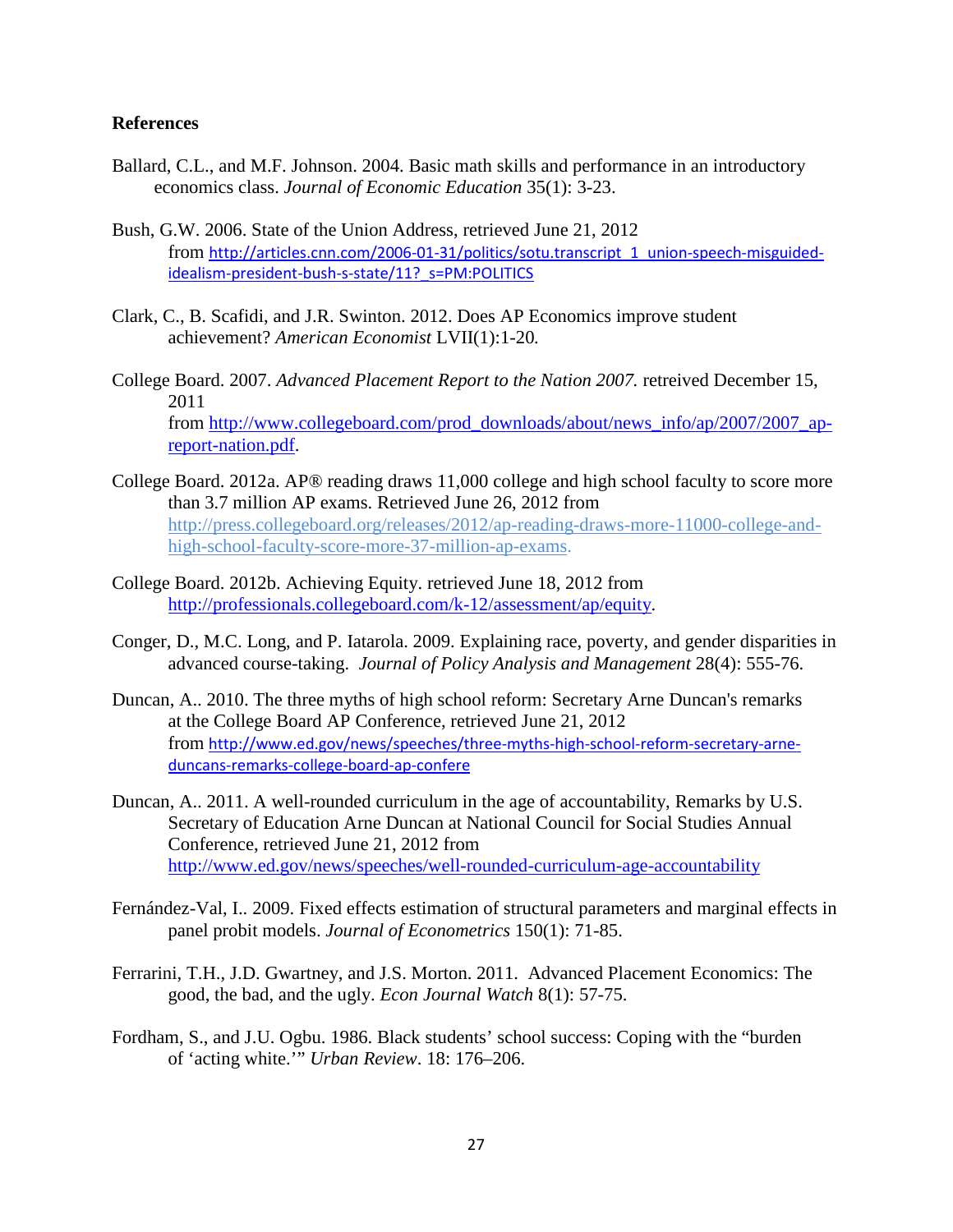# **References**

- Ballard, C.L., and M.F. Johnson. 2004. Basic math skills and performance in an introductory economics class. *Journal of Economic Education* 35(1): 3-23.
- Bush, G.W. 2006. State of the Union Address, retrieved June 21, 2012 from [http://articles.cnn.com/2006-01-31/politics/sotu.transcript\\_1\\_union-speech-misguided](http://articles.cnn.com/2006-01-31/politics/sotu.transcript_1_union-speech-misguided-idealism-president-bush-s-state/11?_s=PM:POLITICS)idealism-president-bush-s-state/11? s=PM:POLITICS
- Clark, C., B. Scafidi, and J.R. Swinton. 2012. Does AP Economics improve student achievement? *American Economist* LVII(1):1-20*.*
- College Board. 2007. *Advanced Placement Report to the Nation 2007.* retreived December 15, 2011 from [http://www.collegeboard.com/prod\\_downloads/about/news\\_info/ap/2007/2007\\_ap](http://www.collegeboard.com/prod_downloads/about/news_info/ap/2007/2007_ap-report-nation.pdf)[report-nation.pdf.](http://www.collegeboard.com/prod_downloads/about/news_info/ap/2007/2007_ap-report-nation.pdf)
- College Board. 2012a. AP® reading draws 11,000 college and high school faculty to score more than 3.7 million AP exams. Retrieved June 26, 2012 from [http://press.collegeboard.org/releases/2012/ap-reading-draws-more-11000-college-and](http://press.collegeboard.org/releases/2012/ap-reading-draws-more-11000-college-and-high-school-faculty-score-more-37-million-ap-exams)[high-school-faculty-score-more-37-million-ap-exams.](http://press.collegeboard.org/releases/2012/ap-reading-draws-more-11000-college-and-high-school-faculty-score-more-37-million-ap-exams)
- College Board. 2012b. Achieving Equity. retrieved June 18, 2012 from [http://professionals.collegeboard.com/k-12/assessment/ap/equity.](http://professionals.collegeboard.com/k-12/assessment/ap/equity)
- Conger, D., M.C. Long, and P. Iatarola. 2009. Explaining race, poverty, and gender disparities in advanced course-taking. *Journal of Policy Analysis and Management* 28(4): 555-76.
- Duncan, A.. 2010. The three myths of high school reform: Secretary Arne Duncan's remarks at the College Board AP Conference, retrieved June 21, 2012 from [http://www.ed.gov/news/speeches/three-myths-high-school-reform-secretary-arne](http://www.ed.gov/news/speeches/three-myths-high-school-reform-secretary-arne-duncans-remarks-college-board-ap-confere)[duncans-remarks-college-board-ap-confere](http://www.ed.gov/news/speeches/three-myths-high-school-reform-secretary-arne-duncans-remarks-college-board-ap-confere)
- Duncan, A.. 2011. A well-rounded curriculum in the age of accountability, Remarks by U.S. Secretary of Education Arne Duncan at National Council for Social Studies Annual Conference, retrieved June 21, 2012 from <http://www.ed.gov/news/speeches/well-rounded-curriculum-age-accountability>
- Fernández-Val, I.. 2009. Fixed effects estimation of structural parameters and marginal effects in panel probit models. *Journal of Econometrics* 150(1): 71-85.
- Ferrarini, T.H., J.D. Gwartney, and J.S. Morton. 2011. Advanced Placement Economics: The good, the bad, and the ugly. *Econ Journal Watch* 8(1): 57-75.
- Fordham, S., and J.U. Ogbu. 1986. Black students' school success: Coping with the "burden of 'acting white.'" *Urban Review*. 18: 176–206.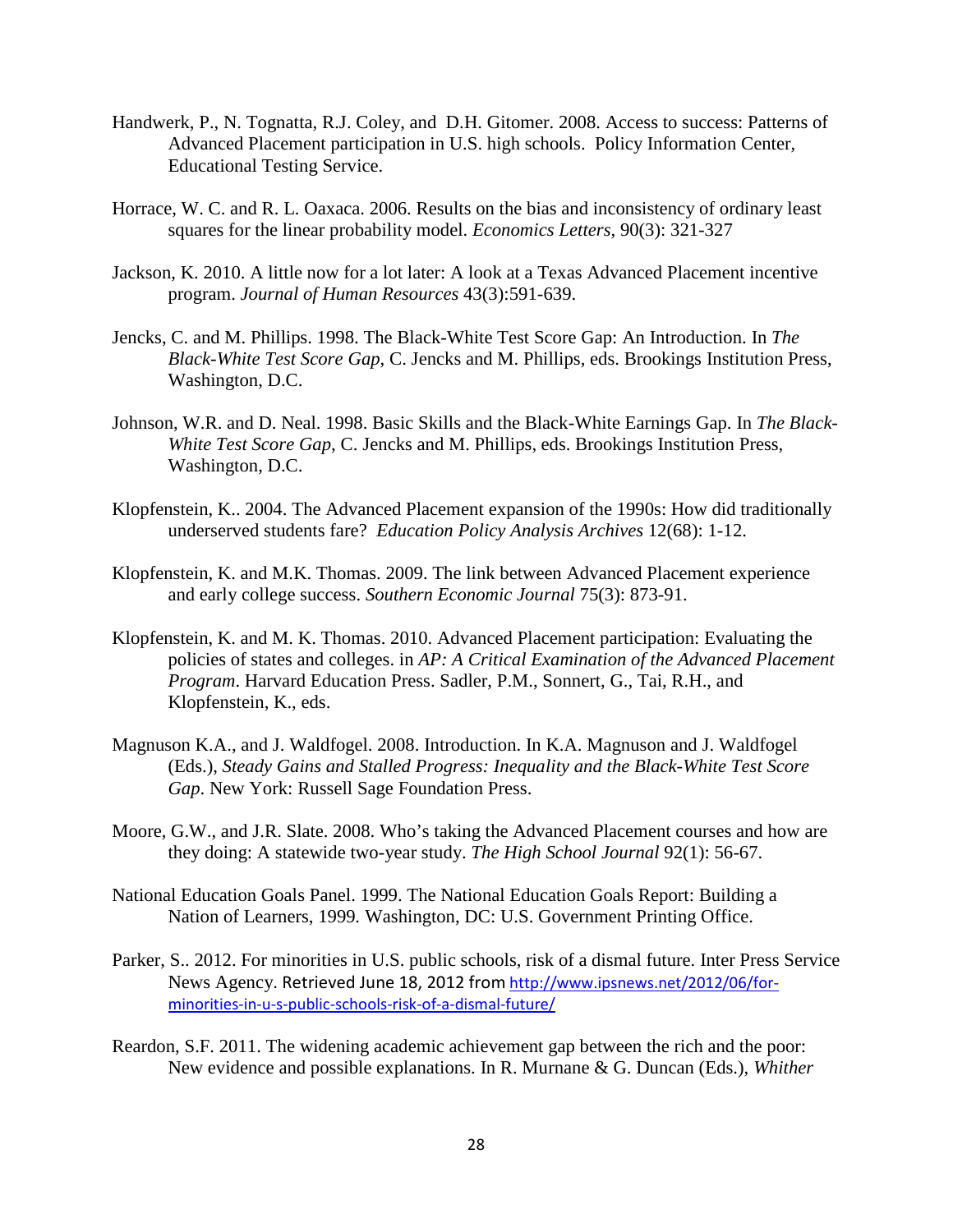- Handwerk, P., N. Tognatta, R.J. Coley, and D.H. Gitomer. 2008. Access to success: Patterns of Advanced Placement participation in U.S. high schools. Policy Information Center, Educational Testing Service.
- [Horrace, W. C. and R. L. Oaxaca.](http://www.sciencedirect.com/science/article/pii/S0165176505003150) 2006. Results on the bias and inconsistency of ordinary least squares for the linear probability model. *Economics Letters*, 90(3): 321-327
- Jackson, K. 2010. A little now for a lot later: A look at a Texas Advanced Placement incentive program. *Journal of Human Resources* 43(3):591-639.
- Jencks, C. and M. Phillips. 1998. The Black-White Test Score Gap: An Introduction. In *The Black-White Test Score Gap*, C. Jencks and M. Phillips, eds. Brookings Institution Press, Washington, D.C.
- Johnson, W.R. and D. Neal. 1998. Basic Skills and the Black-White Earnings Gap. In *The Black-White Test Score Gap*, C. Jencks and M. Phillips, eds. Brookings Institution Press, Washington, D.C.
- Klopfenstein, K.. 2004. The Advanced Placement expansion of the 1990s: How did traditionally underserved students fare? *Education Policy Analysis Archives* 12(68): 1-12.
- Klopfenstein, K. and M.K. Thomas. 2009. The link between Advanced Placement experience and early college success. *Southern Economic Journal* 75(3): 873-91.
- Klopfenstein, K. and M. K. Thomas. 2010. Advanced Placement participation: Evaluating the policies of states and colleges. in *AP: A Critical Examination of the Advanced Placement Program*. Harvard Education Press. Sadler, P.M., Sonnert, G., Tai, R.H., and Klopfenstein, K., eds.
- Magnuson K.A., and J. Waldfogel. 2008. Introduction. In K.A. Magnuson and J. Waldfogel (Eds.), *Steady Gains and Stalled Progress: Inequality and the Black-White Test Score Gap*. New York: Russell Sage Foundation Press.
- Moore, G.W., and J.R. Slate. 2008. Who's taking the Advanced Placement courses and how are they doing: A statewide two-year study. *The High School Journal* 92(1): 56-67.
- National Education Goals Panel. 1999. The National Education Goals Report: Building a Nation of Learners, 1999*.* Washington, DC: U.S. Government Printing Office.
- Parker, S.. 2012. For minorities in U.S. public schools, risk of a dismal future. Inter Press Service News Agency. Retrieved June 18, 2012 from [http://www.ipsnews.net/2012/06/for](http://www.ipsnews.net/2012/06/for-minorities-in-u-s-public-schools-risk-of-a-dismal-future/)[minorities-in-u-s-public-schools-risk-of-a-dismal-future/](http://www.ipsnews.net/2012/06/for-minorities-in-u-s-public-schools-risk-of-a-dismal-future/)
- Reardon, S.F. 2011. The widening academic achievement gap between the rich and the poor: New evidence and possible explanations. In R. Murnane & G. Duncan (Eds.), *Whither*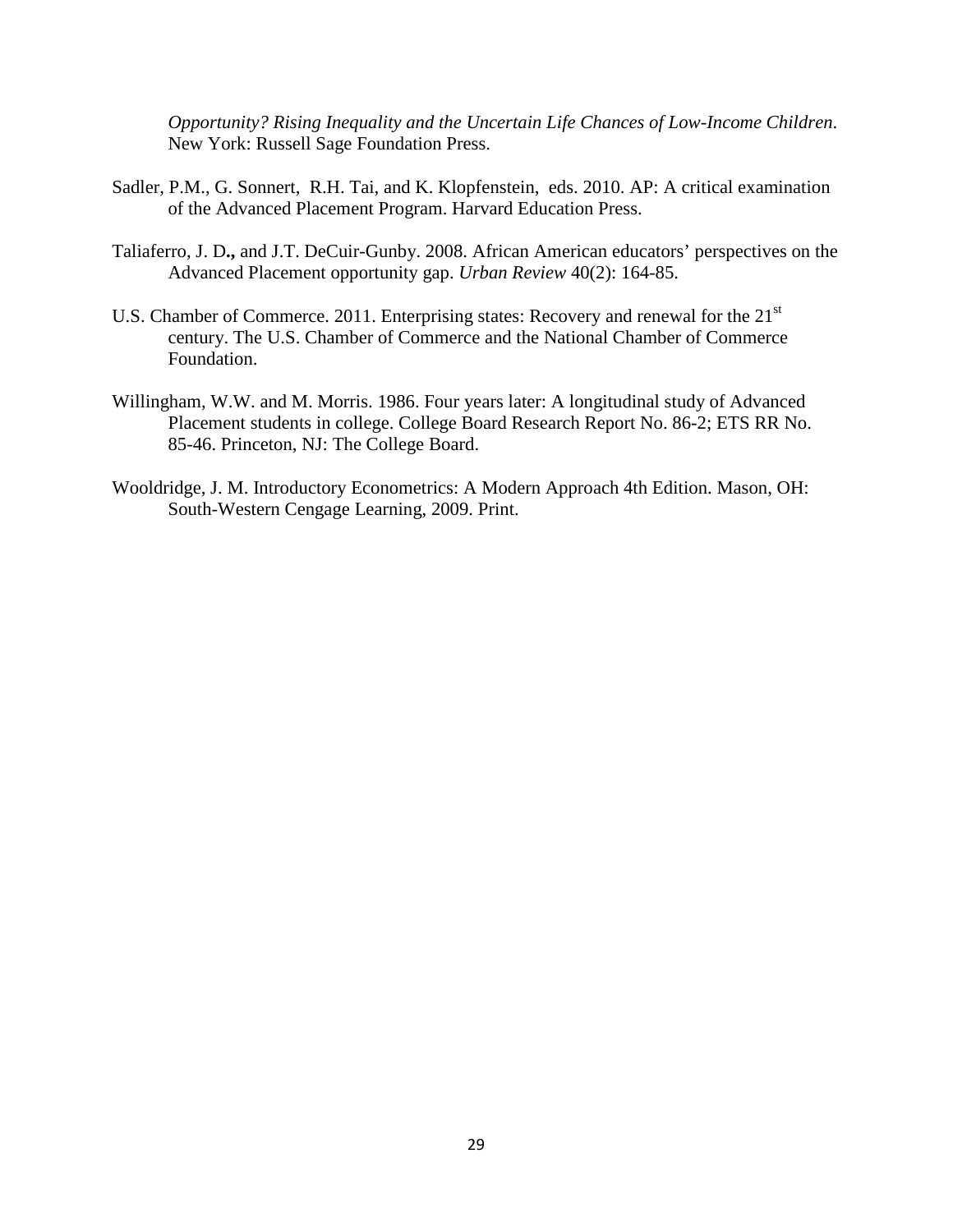*Opportunity? Rising Inequality and the Uncertain Life Chances of Low-Income Children*. New York: Russell Sage Foundation Press.

- Sadler, P.M., G. Sonnert, R.H. Tai, and K. Klopfenstein, eds. 2010. AP: A critical examination of the Advanced Placement Program. Harvard Education Press.
- Taliaferro, J. D**.,** and J.T. DeCuir-Gunby. 2008. African American educators' perspectives on the Advanced Placement opportunity gap. *Urban Review* 40(2): 164-85.
- U.S. Chamber of Commerce. 2011. Enterprising states: Recovery and renewal for the 21<sup>st</sup> century. The U.S. Chamber of Commerce and the National Chamber of Commerce Foundation.
- Willingham, W.W. and M. Morris. 1986. Four years later: A longitudinal study of Advanced Placement students in college. College Board Research Report No. 86-2; ETS RR No. 85-46. Princeton, NJ: The College Board.
- Wooldridge, J. M. Introductory Econometrics: A Modern Approach 4th Edition. Mason, OH: South-Western Cengage Learning, 2009. Print.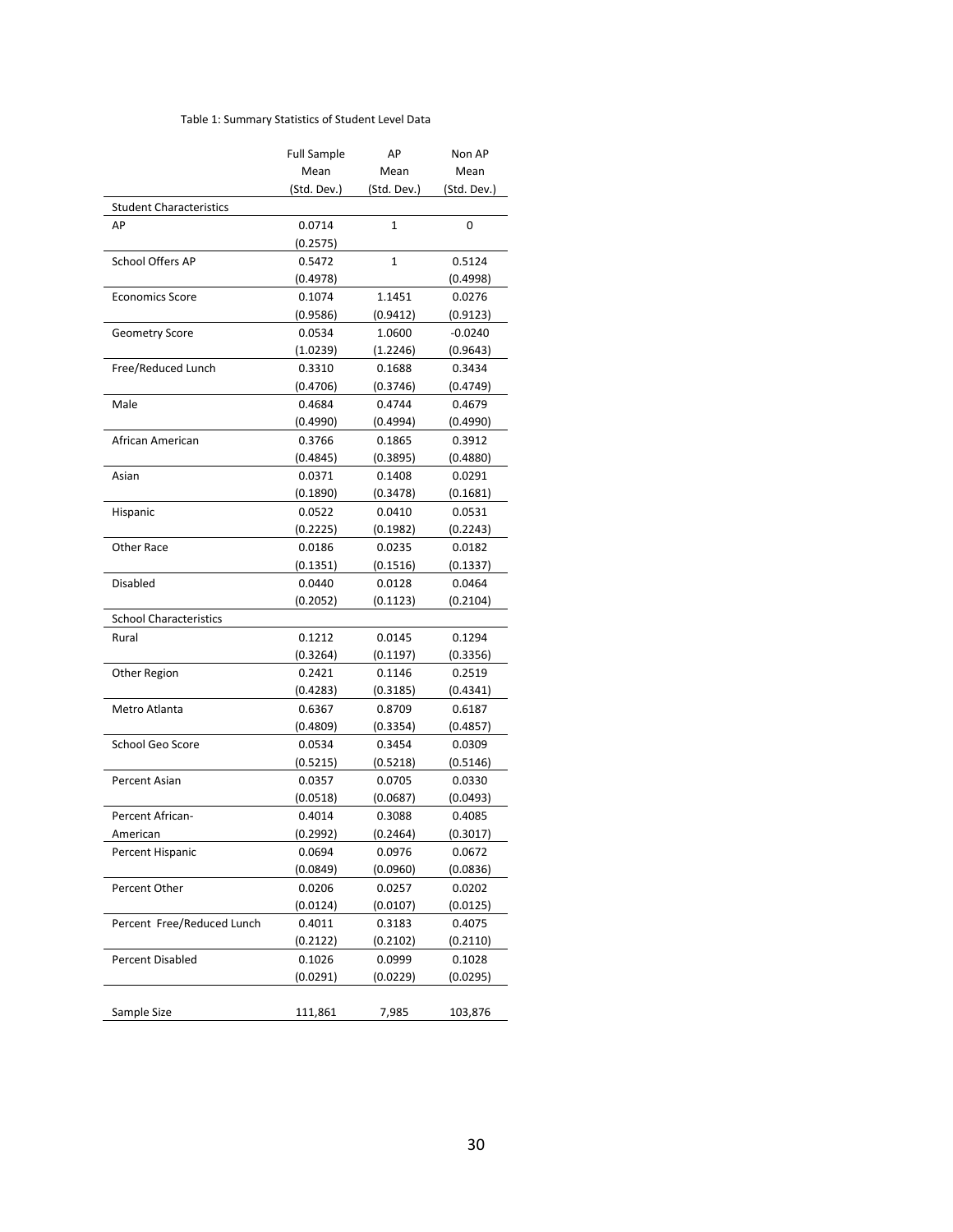## Table 1: Summary Statistics of Student Level Data

|                                | <b>Full Sample</b> | АP           | Non AP      |
|--------------------------------|--------------------|--------------|-------------|
|                                | Mean               | Mean         | Mean        |
|                                | (Std. Dev.)        | (Std. Dev.)  | (Std. Dev.) |
| <b>Student Characteristics</b> |                    |              |             |
| AP                             | 0.0714             | $\mathbf{1}$ | 0           |
|                                | (0.2575)           |              |             |
| School Offers AP               | 0.5472             | $\mathbf{1}$ | 0.5124      |
|                                | (0.4978)           |              | (0.4998)    |
| <b>Economics Score</b>         | 0.1074             | 1.1451       | 0.0276      |
|                                | (0.9586)           | (0.9412)     | (0.9123)    |
| <b>Geometry Score</b>          | 0.0534             | 1.0600       | $-0.0240$   |
|                                | (1.0239)           | (1.2246)     | (0.9643)    |
| Free/Reduced Lunch             | 0.3310             | 0.1688       | 0.3434      |
|                                | (0.4706)           | (0.3746)     | (0.4749)    |
| Male                           | 0.4684             | 0.4744       | 0.4679      |
|                                | (0.4990)           | (0.4994)     | (0.4990)    |
| African American               | 0.3766             | 0.1865       | 0.3912      |
|                                | (0.4845)           | (0.3895)     | (0.4880)    |
| Asian                          | 0.0371             | 0.1408       | 0.0291      |
|                                | (0.1890)           | (0.3478)     | (0.1681)    |
| Hispanic                       | 0.0522             | 0.0410       | 0.0531      |
|                                | (0.2225)           | (0.1982)     | (0.2243)    |
| Other Race                     | 0.0186             | 0.0235       | 0.0182      |
|                                | (0.1351)           | (0.1516)     | (0.1337)    |
| Disabled                       | 0.0440             | 0.0128       | 0.0464      |
|                                | (0.2052)           | (0.1123)     | (0.2104)    |
| <b>School Characteristics</b>  |                    |              |             |
| Rural                          | 0.1212             | 0.0145       | 0.1294      |
|                                | (0.3264)           | (0.1197)     | (0.3356)    |
| Other Region                   | 0.2421             | 0.1146       | 0.2519      |
|                                | (0.4283)           | (0.3185)     | (0.4341)    |
| Metro Atlanta                  | 0.6367             | 0.8709       | 0.6187      |
|                                | (0.4809)           | (0.3354)     | (0.4857)    |
| School Geo Score               | 0.0534             | 0.3454       | 0.0309      |
|                                | (0.5215)           | (0.5218)     | (0.5146)    |
| Percent Asian                  | 0.0357             | 0.0705       | 0.0330      |
|                                | (0.0518)           | (0.0687)     | (0.0493)    |
| Percent African-               | 0.4014             | 0.3088       | 0.4085      |
| American                       | (0.2992)           | (0.2464)     | (0.3017)    |
| Percent Hispanic               | 0.0694             | 0.0976       | 0.0672      |
|                                | (0.0849)           | (0.0960)     | (0.0836)    |
| Percent Other                  | 0.0206             | 0.0257       | 0.0202      |
|                                | (0.0124)           | (0.0107)     | (0.0125)    |
| Percent Free/Reduced Lunch     | 0.4011             | 0.3183       | 0.4075      |
|                                | (0.2122)           | (0.2102)     | (0.2110)    |
| Percent Disabled               | 0.1026             | 0.0999       | 0.1028      |
|                                | (0.0291)           | (0.0229)     | (0.0295)    |
|                                |                    |              |             |
| Sample Size                    | 111,861            | 7,985        | 103,876     |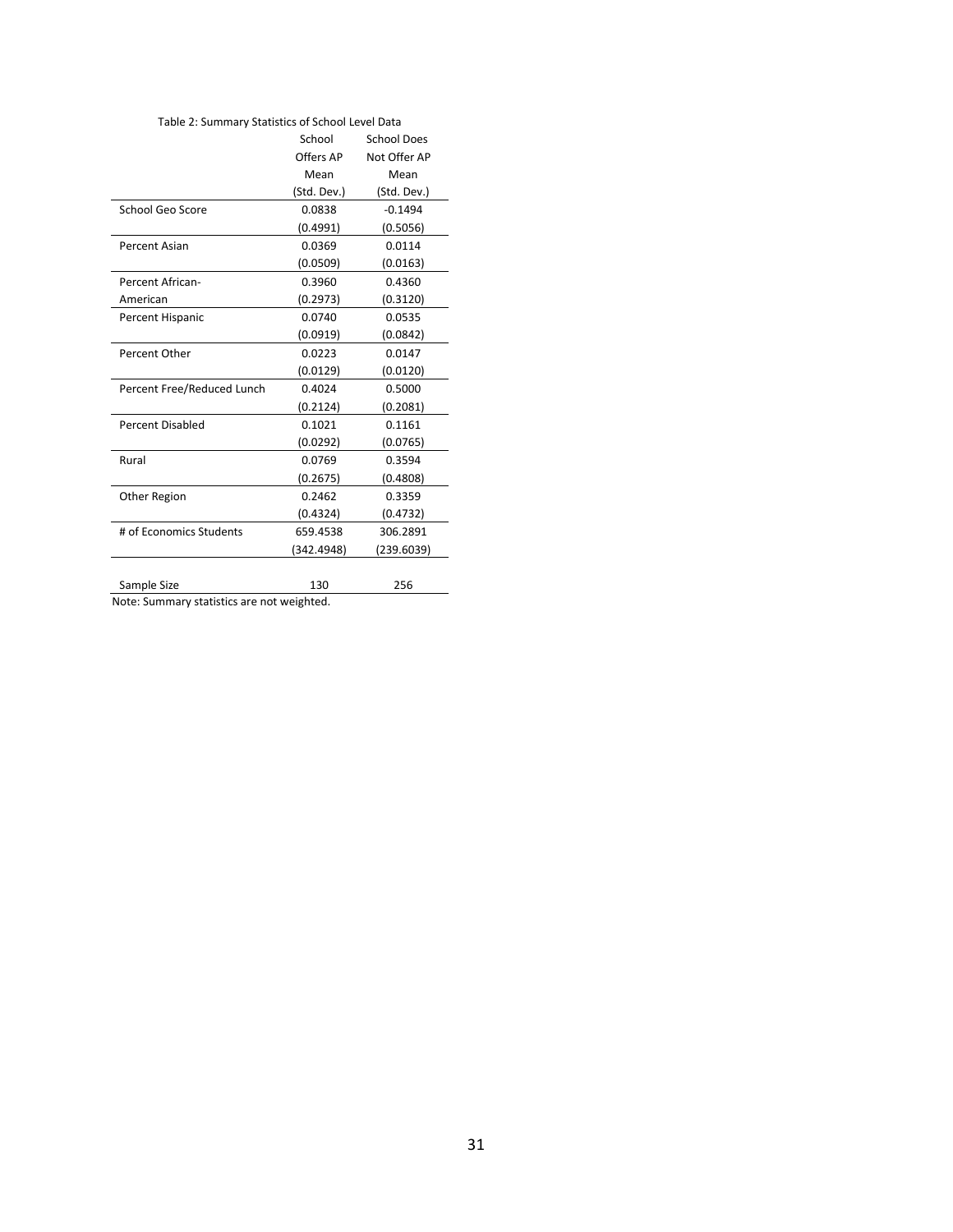| Table 2: Summary Statistics of School Level Data |                              |              |  |
|--------------------------------------------------|------------------------------|--------------|--|
|                                                  | School<br><b>School Does</b> |              |  |
|                                                  | Offers AP                    | Not Offer AP |  |
|                                                  | Mean                         | Mean         |  |
|                                                  | (Std. Dev.)                  | (Std. Dev.)  |  |
| School Geo Score                                 | 0.0838                       | $-0.1494$    |  |
|                                                  | (0.4991)                     | (0.5056)     |  |
| <b>Percent Asian</b>                             | 0.0369                       | 0.0114       |  |
|                                                  | (0.0509)                     | (0.0163)     |  |
| Percent African-                                 | 0.3960                       | 0.4360       |  |
| American                                         | (0.2973)                     | (0.3120)     |  |
| Percent Hispanic                                 | 0.0740                       | 0.0535       |  |
|                                                  | (0.0919)                     | (0.0842)     |  |
| Percent Other                                    | 0.0223                       | 0.0147       |  |
|                                                  | (0.0129)                     | (0.0120)     |  |
| Percent Free/Reduced Lunch                       | 0.4024                       | 0.5000       |  |
|                                                  | (0.2124)                     | (0.2081)     |  |
| Percent Disabled                                 | 0.1021                       | 0.1161       |  |
|                                                  | (0.0292)                     | (0.0765)     |  |
| Rural                                            | 0.0769                       | 0.3594       |  |
|                                                  | (0.2675)                     | (0.4808)     |  |
| Other Region                                     | 0.2462                       | 0.3359       |  |
|                                                  | (0.4324)                     | (0.4732)     |  |
| # of Economics Students                          | 659.4538                     | 306.2891     |  |
|                                                  | (342.4948)                   | (239.6039)   |  |
|                                                  |                              |              |  |
| Sample Size                                      | 130                          | 256          |  |

Note: Summary statistics are not weighted.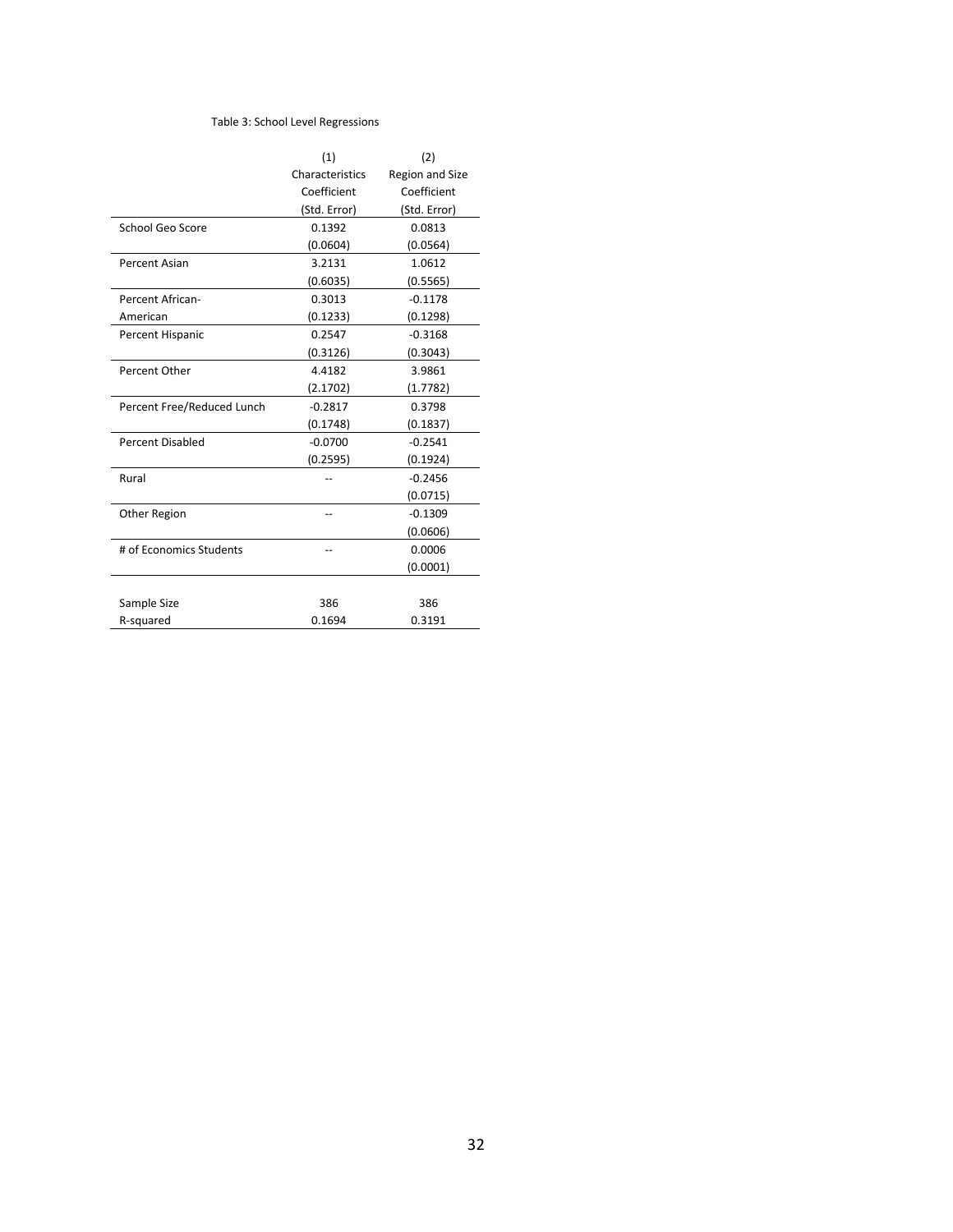#### Table 3: School Level Regressions

<span id="page-31-2"></span><span id="page-31-1"></span><span id="page-31-0"></span>

|                            | (1)<br>(2)      |                        |
|----------------------------|-----------------|------------------------|
|                            | Characteristics | <b>Region and Size</b> |
|                            | Coefficient     | Coefficient            |
|                            | (Std. Error)    | (Std. Error)           |
| School Geo Score           | 0.1392          | 0.0813                 |
|                            | (0.0604)        | (0.0564)               |
| <b>Percent Asian</b>       | 3.2131          | 1.0612                 |
|                            | (0.6035)        | (0.5565)               |
| Percent African-           | 0.3013          | $-0.1178$              |
| American                   | (0.1233)        | (0.1298)               |
| Percent Hispanic           | 0.2547          | $-0.3168$              |
|                            | (0.3126)        | (0.3043)               |
| Percent Other              | 4.4182          | 3.9861                 |
|                            | (2.1702)        | (1.7782)               |
| Percent Free/Reduced Lunch | $-0.2817$       | 0.3798                 |
|                            | (0.1748)        | (0.1837)               |
| Percent Disabled           | $-0.0700$       | $-0.2541$              |
|                            | (0.2595)        | (0.1924)               |
| Rural                      |                 | $-0.2456$              |
|                            |                 | (0.0715)               |
| Other Region               |                 | $-0.1309$              |
|                            |                 | (0.0606)               |
| # of Economics Students    |                 | 0.0006                 |
|                            |                 | (0.0001)               |
|                            |                 |                        |
| Sample Size                | 386             | 386                    |
| R-squared                  | 0.1694          | 0.3191                 |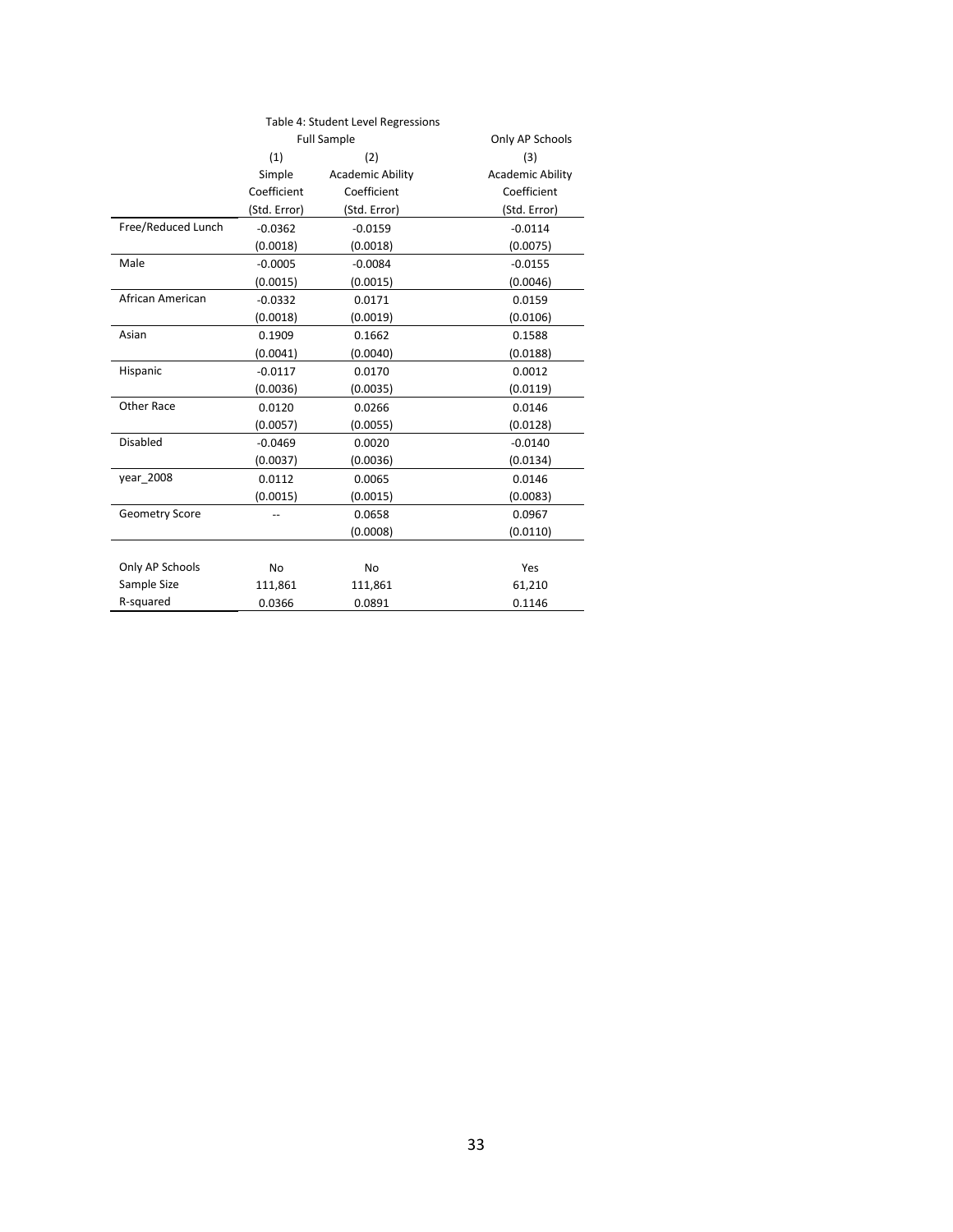<span id="page-32-1"></span><span id="page-32-0"></span>

| Table 4: Student Level Regressions |              |                         |                         |
|------------------------------------|--------------|-------------------------|-------------------------|
|                                    |              | <b>Full Sample</b>      | Only AP Schools         |
|                                    | (1)          | (2)                     | (3)                     |
|                                    | Simple       | <b>Academic Ability</b> | <b>Academic Ability</b> |
|                                    | Coefficient  | Coefficient             | Coefficient             |
|                                    | (Std. Error) | (Std. Error)            | (Std. Error)            |
| Free/Reduced Lunch                 | $-0.0362$    | $-0.0159$               | $-0.0114$               |
|                                    | (0.0018)     | (0.0018)                | (0.0075)                |
| Male                               | $-0.0005$    | $-0.0084$               | $-0.0155$               |
|                                    | (0.0015)     | (0.0015)                | (0.0046)                |
| African American                   | $-0.0332$    | 0.0171                  | 0.0159                  |
|                                    | (0.0018)     | (0.0019)                | (0.0106)                |
| Asian                              | 0.1909       | 0.1662                  | 0.1588                  |
|                                    | (0.0041)     | (0.0040)                | (0.0188)                |
| Hispanic                           | $-0.0117$    | 0.0170                  | 0.0012                  |
|                                    | (0.0036)     | (0.0035)                | (0.0119)                |
| Other Race                         | 0.0120       | 0.0266                  | 0.0146                  |
|                                    | (0.0057)     | (0.0055)                | (0.0128)                |
| <b>Disabled</b>                    | $-0.0469$    | 0.0020                  | $-0.0140$               |
|                                    | (0.0037)     | (0.0036)                | (0.0134)                |
| year 2008                          | 0.0112       | 0.0065                  | 0.0146                  |
|                                    | (0.0015)     | (0.0015)                | (0.0083)                |
| <b>Geometry Score</b>              |              | 0.0658                  | 0.0967                  |
|                                    |              | (0.0008)                | (0.0110)                |
|                                    |              |                         |                         |
| Only AP Schools                    | <b>No</b>    | No                      | Yes                     |
| Sample Size                        | 111,861      | 111,861                 | 61,210                  |
| R-squared                          | 0.0366       | 0.0891                  | 0.1146                  |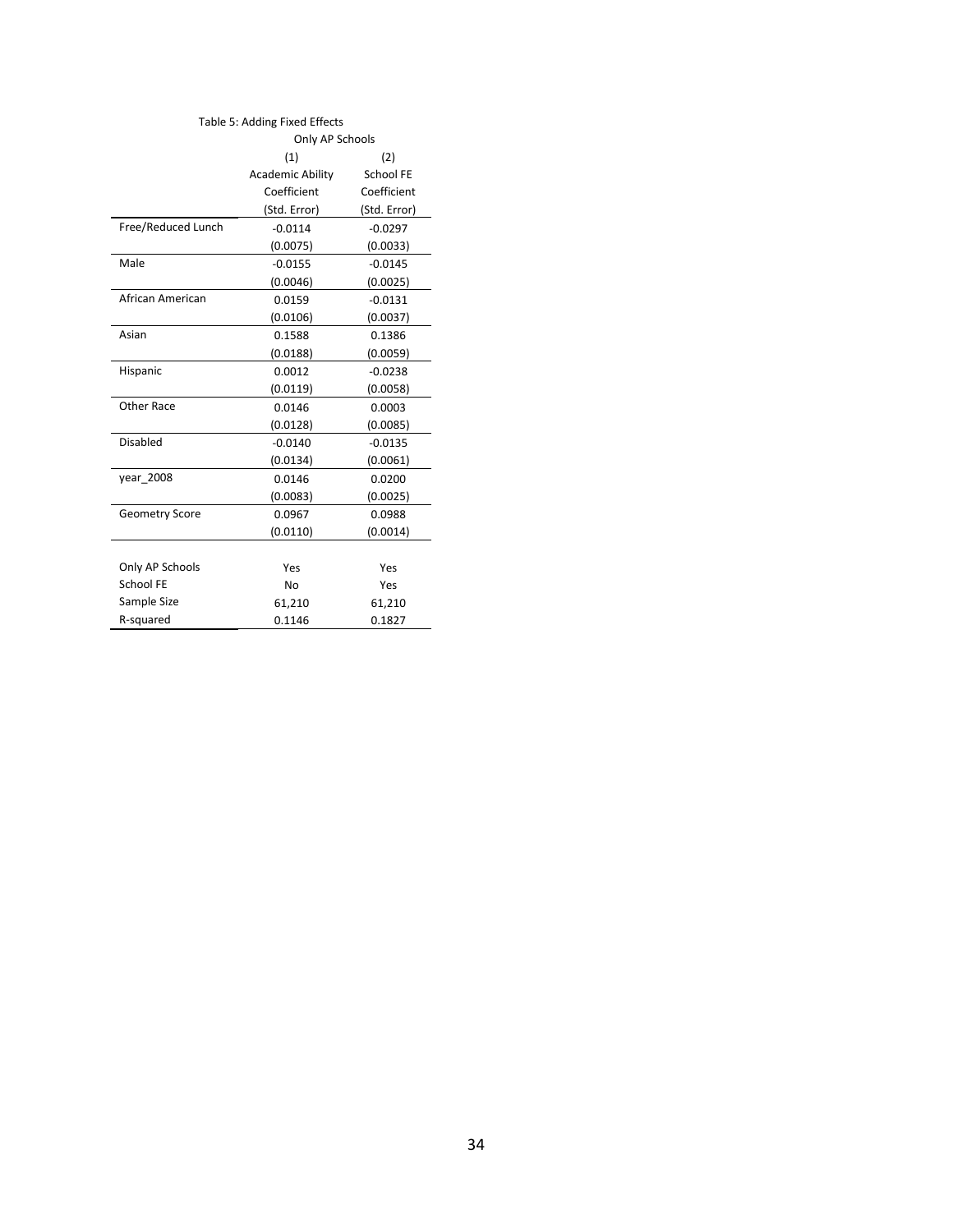<span id="page-33-1"></span><span id="page-33-0"></span>

| Table 5: Adding Fixed Effects |                         |              |  |
|-------------------------------|-------------------------|--------------|--|
|                               | Only AP Schools         |              |  |
|                               | (1)<br>(2)              |              |  |
|                               | <b>Academic Ability</b> | School FE    |  |
|                               | Coefficient             | Coefficient  |  |
|                               | (Std. Error)            | (Std. Error) |  |
| Free/Reduced Lunch            | $-0.0114$               | $-0.0297$    |  |
|                               | (0.0075)                | (0.0033)     |  |
| Male                          | $-0.0155$               | $-0.0145$    |  |
|                               | (0.0046)                | (0.0025)     |  |
| African American              | 0.0159                  | $-0.0131$    |  |
|                               | (0.0106)                | (0.0037)     |  |
| Asian                         | 0.1588                  | 0.1386       |  |
|                               | (0.0188)                | (0.0059)     |  |
| Hispanic                      | 0.0012                  | $-0.0238$    |  |
|                               | (0.0119)                | (0.0058)     |  |
| Other Race                    | 0.0146                  | 0.0003       |  |
|                               | (0.0128)                | (0.0085)     |  |
| <b>Disabled</b>               | $-0.0140$               | $-0.0135$    |  |
|                               | (0.0134)                | (0.0061)     |  |
| year 2008                     | 0.0146                  | 0.0200       |  |
|                               | (0.0083)                | (0.0025)     |  |
| <b>Geometry Score</b>         | 0.0967                  | 0.0988       |  |
|                               | (0.0110)                | (0.0014)     |  |
|                               |                         |              |  |
| Only AP Schools               | Yes                     | Yes          |  |
| <b>School FE</b>              | No                      | Yes          |  |
| Sample Size                   | 61,210                  | 61,210       |  |
| R-squared                     | 0.1146                  | 0.1827       |  |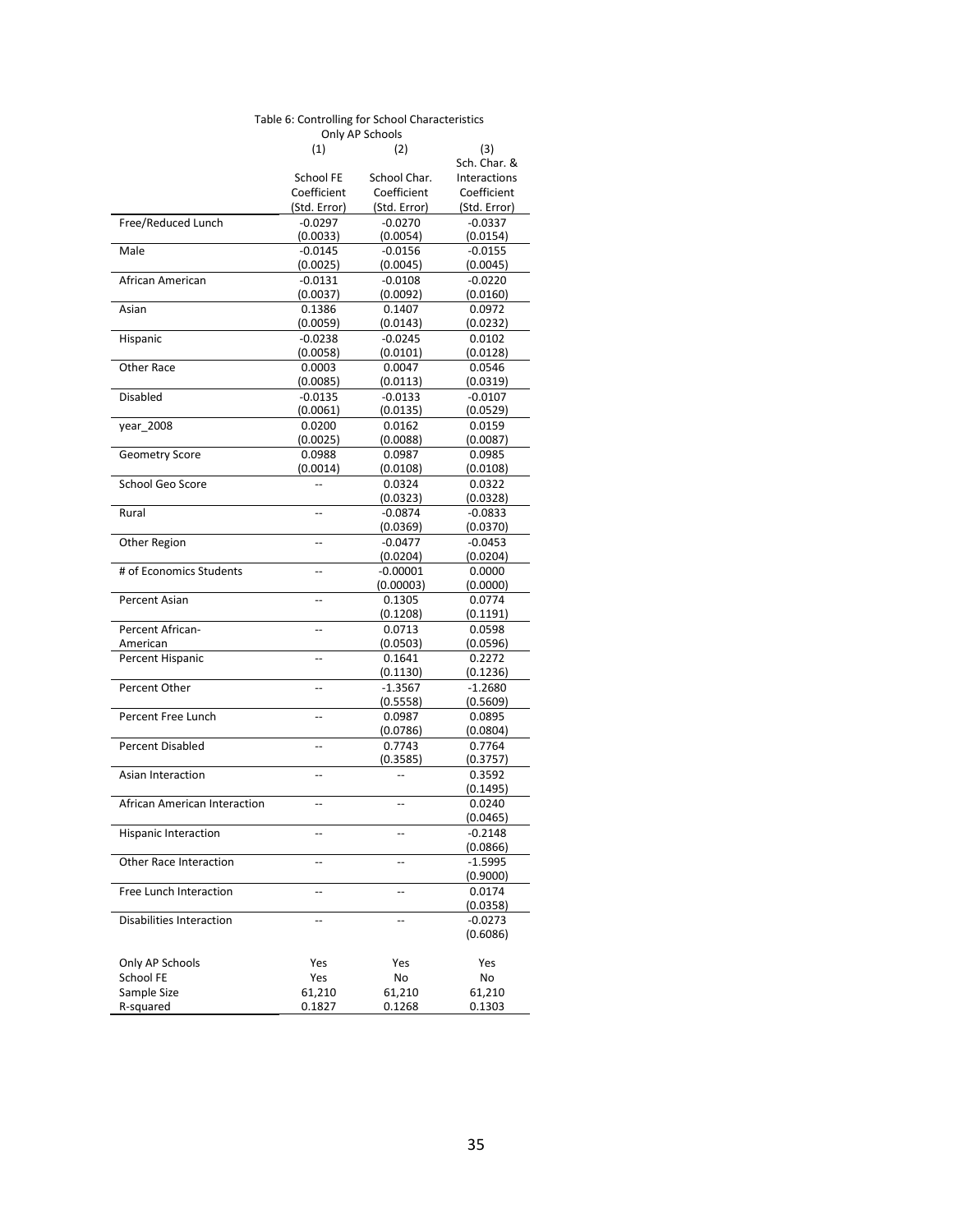|                              | Only AP Schools |                |              |
|------------------------------|-----------------|----------------|--------------|
|                              | (1)             | (2)            | (3)          |
|                              |                 |                | Sch. Char. & |
|                              | School FE       | School Char.   | Interactions |
|                              | Coefficient     | Coefficient    | Coefficient  |
|                              | (Std. Error)    | (Std. Error)   | (Std. Error) |
| Free/Reduced Lunch           | $-0.0297$       | $-0.0270$      | $-0.0337$    |
|                              | (0.0033)        | (0.0054)       | (0.0154)     |
| Male                         | $-0.0145$       | $-0.0156$      | $-0.0155$    |
|                              | (0.0025)        | (0.0045)       | (0.0045)     |
| African American             | $-0.0131$       | $-0.0108$      | $-0.0220$    |
|                              | (0.0037)        | (0.0092)       | (0.0160)     |
|                              | 0.1386          | 0.1407         | 0.0972       |
| Asian                        | (0.0059)        | (0.0143)       | (0.0232)     |
|                              |                 |                |              |
| Hispanic                     | $-0.0238$       | $-0.0245$      | 0.0102       |
|                              | (0.0058)        | (0.0101)       | (0.0128)     |
| Other Race                   | 0.0003          | 0.0047         | 0.0546       |
|                              | (0.0085)        | (0.0113)       | (0.0319)     |
| Disabled                     | $-0.0135$       | $-0.0133$      | $-0.0107$    |
|                              | (0.0061)        | (0.0135)       | (0.0529)     |
| year_2008                    | 0.0200          | 0.0162         | 0.0159       |
|                              | (0.0025)        | (0.0088)       | (0.0087)     |
| <b>Geometry Score</b>        | 0.0988          | 0.0987         | 0.0985       |
|                              | (0.0014)        | (0.0108)       | (0.0108)     |
| School Geo Score             |                 | 0.0324         | 0.0322       |
|                              |                 | (0.0323)       | (0.0328)     |
| Rural                        | --              | $-0.0874$      | $-0.0833$    |
|                              |                 | (0.0369)       | (0.0370)     |
| Other Region                 |                 | $-0.0477$      | $-0.0453$    |
|                              |                 | (0.0204)       | (0.0204)     |
| # of Economics Students      |                 | $-0.00001$     | 0.0000       |
|                              |                 | (0.00003)      | (0.0000)     |
| Percent Asian                | --              | 0.1305         | 0.0774       |
|                              |                 | (0.1208)       | (0.1191)     |
| Percent African-             | --              | 0.0713         | 0.0598       |
| American                     |                 | (0.0503)       | (0.0596)     |
| Percent Hispanic             | --              | 0.1641         | 0.2272       |
|                              |                 | (0.1130)       | (0.1236)     |
| Percent Other                |                 | $-1.3567$      | $-1.2680$    |
|                              |                 |                |              |
|                              |                 | (0.5558)       | (0.5609)     |
| Percent Free Lunch           | --              | 0.0987         | 0.0895       |
|                              |                 | (0.0786)       | (0.0804)     |
| Percent Disabled             |                 | 0.7743         | 0.7764       |
|                              |                 | (0.3585)       | (0.3757)     |
| Asian Interaction            | Ц.              |                | 0.3592       |
|                              |                 |                | (0.1495)     |
| African American Interaction |                 |                | 0.0240       |
|                              |                 |                | (0.0465)     |
| Hispanic Interaction         |                 |                | $-0.2148$    |
|                              |                 |                | (0.0866)     |
| Other Race Interaction       |                 | --             | $-1.5995$    |
|                              |                 |                | (0.9000)     |
| Free Lunch Interaction       | --              | --             | 0.0174       |
|                              |                 |                | (0.0358)     |
| Disabilities Interaction     |                 | $\overline{a}$ | $-0.0273$    |
|                              |                 |                | (0.6086)     |
|                              |                 |                |              |
| Only AP Schools              | Yes             | Yes            | Yes          |
| School FE                    | Yes             | No             | No           |
| Sample Size                  | 61,210          | 61,210         | 61,210       |
| R-squared                    | 0.1827          | 0.1268         | 0.1303       |
|                              |                 |                |              |

# Table 6: Controlling for School Characteristics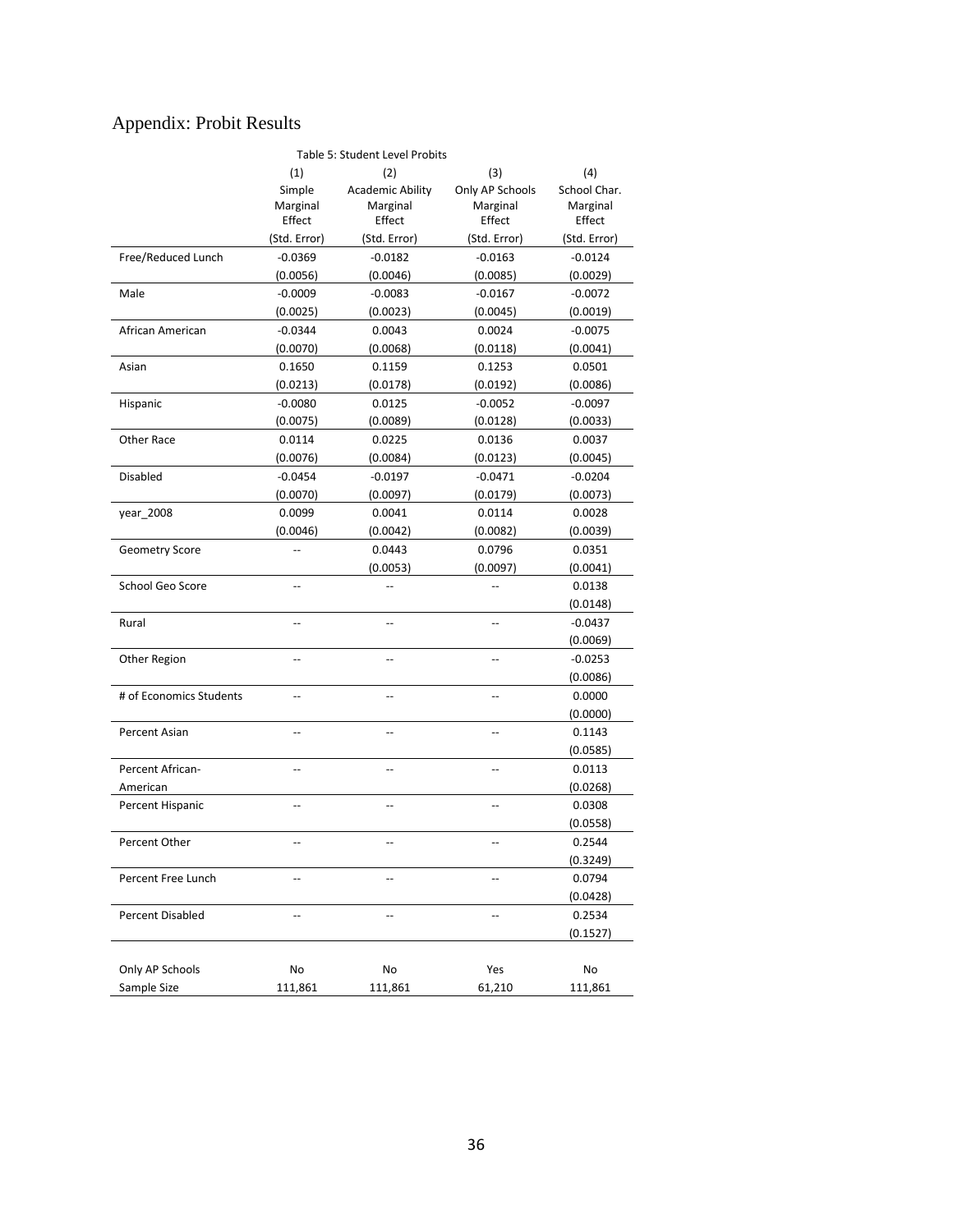# Appendix: Probit Results

|                         |                              | Table 5: Student Level Probits                |                                       |                                    |
|-------------------------|------------------------------|-----------------------------------------------|---------------------------------------|------------------------------------|
|                         | (1)                          | (2)                                           | (3)                                   | (4)                                |
|                         | Simple<br>Marginal<br>Effect | <b>Academic Ability</b><br>Marginal<br>Effect | Only AP Schools<br>Marginal<br>Effect | School Char.<br>Marginal<br>Effect |
|                         | (Std. Error)                 | (Std. Error)                                  | (Std. Error)                          | (Std. Error)                       |
| Free/Reduced Lunch      | $-0.0369$                    | $-0.0182$                                     | $-0.0163$                             | $-0.0124$                          |
|                         | (0.0056)                     | (0.0046)                                      | (0.0085)                              | (0.0029)                           |
| Male                    | $-0.0009$                    | $-0.0083$                                     | $-0.0167$                             | $-0.0072$                          |
|                         | (0.0025)                     | (0.0023)                                      | (0.0045)                              | (0.0019)                           |
| African American        | $-0.0344$                    | 0.0043                                        | 0.0024                                | $-0.0075$                          |
|                         | (0.0070)                     | (0.0068)                                      | (0.0118)                              | (0.0041)                           |
| Asian                   | 0.1650                       | 0.1159                                        | 0.1253                                | 0.0501                             |
|                         | (0.0213)                     | (0.0178)                                      | (0.0192)                              | (0.0086)                           |
| Hispanic                | $-0.0080$                    | 0.0125                                        | $-0.0052$                             | $-0.0097$                          |
|                         | (0.0075)                     | (0.0089)                                      | (0.0128)                              | (0.0033)                           |
| Other Race              | 0.0114                       | 0.0225                                        | 0.0136                                | 0.0037                             |
|                         | (0.0076)                     | (0.0084)                                      | (0.0123)                              | (0.0045)                           |
| Disabled                | $-0.0454$                    | $-0.0197$                                     | $-0.0471$                             | $-0.0204$                          |
|                         | (0.0070)                     | (0.0097)                                      | (0.0179)                              | (0.0073)                           |
| year_2008               | 0.0099                       | 0.0041                                        | 0.0114                                | 0.0028                             |
|                         | (0.0046)                     | (0.0042)                                      | (0.0082)                              | (0.0039)                           |
| <b>Geometry Score</b>   |                              | 0.0443                                        | 0.0796                                | 0.0351                             |
|                         |                              | (0.0053)                                      | (0.0097)                              | (0.0041)                           |
| School Geo Score        | $\overline{a}$               |                                               |                                       | 0.0138                             |
|                         |                              |                                               |                                       | (0.0148)                           |
| Rural                   |                              |                                               |                                       | $-0.0437$                          |
|                         |                              |                                               |                                       | (0.0069)                           |
| Other Region            | $\overline{a}$               | $\overline{a}$                                | --                                    | $-0.0253$                          |
|                         |                              |                                               |                                       | (0.0086)                           |
| # of Economics Students | <u></u>                      |                                               | --                                    | 0.0000                             |
|                         |                              |                                               |                                       | (0.0000)                           |
| Percent Asian           |                              |                                               |                                       | 0.1143                             |
|                         |                              |                                               |                                       | (0.0585)                           |
| Percent African-        |                              |                                               |                                       | 0.0113                             |
| American                |                              |                                               |                                       | (0.0268)                           |
| Percent Hispanic        |                              |                                               | ۵.                                    | 0.0308                             |
|                         |                              |                                               |                                       | (0.0558)                           |
| Percent Other           |                              |                                               |                                       | 0.2544                             |
|                         |                              |                                               |                                       | (0.3249)                           |
| Percent Free Lunch      |                              |                                               |                                       | 0.0794                             |
|                         |                              |                                               |                                       | (0.0428)                           |
| Percent Disabled        |                              |                                               |                                       | 0.2534                             |
|                         |                              |                                               |                                       | (0.1527)                           |
|                         |                              |                                               |                                       |                                    |
| Only AP Schools         | No                           | No                                            | Yes                                   | No                                 |
| Sample Size             | 111,861                      | 111,861                                       | 61,210                                | 111,861                            |